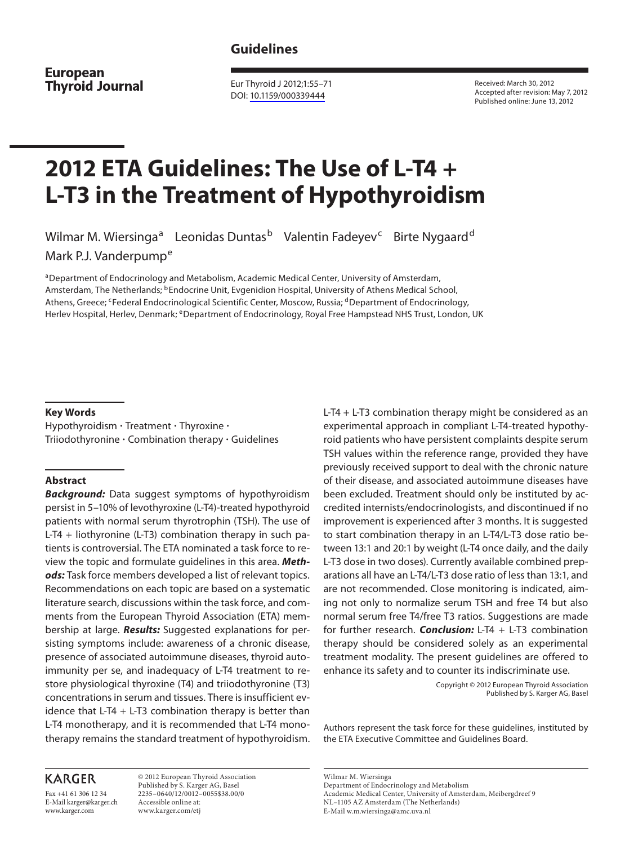# **Guidelines**

**European Thyroid Journal** 

 Eur Thyroid J 2012;1:55–71 DOI: [10.1159/000339444](http://dx.doi.org/10.1159%2F000339444)

 Received: March 30, 2012 Accepted after revision: May 7, 2012 Published online: June 13, 2012

# **2012 ETA Guidelines: The Use of L-T4 + L-T3 in the Treatment of Hypothyroidism**

Wilmar M. Wiersinga<sup>a</sup> Leonidas Duntas<sup>b</sup> Valentin Fadeyev<sup>c</sup> Birte Nygaard<sup>d</sup>

Mark P.J. Vanderpump<sup>e</sup>

a Department of Endocrinology and Metabolism, Academic Medical Center, University of Amsterdam, Amsterdam, The Netherlands; <sup>b</sup>Endocrine Unit, Evgenidion Hospital, University of Athens Medical School, Athens, Greece; <sup>c</sup>Federal Endocrinological Scientific Center, Moscow, Russia; <sup>d</sup>Department of Endocrinology, Herlev Hospital, Herlev, Denmark; eDepartment of Endocrinology, Royal Free Hampstead NHS Trust, London, UK

#### **Key Words**

Hypothyroidism  $\cdot$  Treatment  $\cdot$  Thyroxine  $\cdot$ Triiodothyronine - Combination therapy - Guidelines

#### **Abstract**

*Background:* Data suggest symptoms of hypothyroidism persist in 5–10% of levothyroxine (L-T4)-treated hypothyroid patients with normal serum thyrotrophin (TSH). The use of L-T4 + liothyronine (L-T3) combination therapy in such patients is controversial. The ETA nominated a task force to review the topic and formulate guidelines in this area. *Methods:* Task force members developed a list of relevant topics. Recommendations on each topic are based on a systematic literature search, discussions within the task force, and comments from the European Thyroid Association (ETA) membership at large. *Results:* Suggested explanations for persisting symptoms include: awareness of a chronic disease, presence of associated autoimmune diseases, thyroid autoimmunity per se, and inadequacy of L-T4 treatment to restore physiological thyroxine (T4) and triiodothyronine (T3) concentrations in serum and tissues. There is insufficient evidence that L-T4  $+$  L-T3 combination therapy is better than L-T4 monotherapy, and it is recommended that L-T4 monotherapy remains the standard treatment of hypothyroidism. L-T4 + L-T3 combination therapy might be considered as an experimental approach in compliant L-T4-treated hypothyroid patients who have persistent complaints despite serum TSH values within the reference range, provided they have previously received support to deal with the chronic nature of their disease, and associated autoimmune diseases have been excluded. Treatment should only be instituted by accredited internists/endocrinologists, and discontinued if no improvement is experienced after 3 months. It is suggested to start combination therapy in an L-T4/L-T3 dose ratio between 13:1 and 20:1 by weight (L-T4 once daily, and the daily L-T3 dose in two doses). Currently available combined preparations all have an L-T4/L-T3 dose ratio of less than 13:1, and are not recommended. Close monitoring is indicated, aiming not only to normalize serum TSH and free T4 but also normal serum free T4/free T3 ratios. Suggestions are made for further research. *Conclusion:* L-T4 + L-T3 combination therapy should be considered solely as an experimental treatment modality. The present guidelines are offered to enhance its safety and to counter its indiscriminate use.

> Copyright © 2012 European Thyroid Association Published by S. Karger AG, Basel

 Authors represent the task force for these guidelines, instituted by the ETA Executive Committee and Guidelines Board.

# **KARGER**

Fax +41 61 306 12 34 E-Mail karger@karger.ch www.karger.com

 © 2012 European Thyroid Association Published by S. Karger AG, Basel 2235–0640/12/0012–0055\$38.00/0 Accessible online at: www.karger.com/etj

Wilmar M. Wiersinga

E-Mail w.m.wiersinga@amc.uva.nl

Department of Endocrinology and Metabolism Academic Medical Center, University of Amsterdam, Meibergdreef 9

NL–1105 AZ Amsterdam (The Netherlands)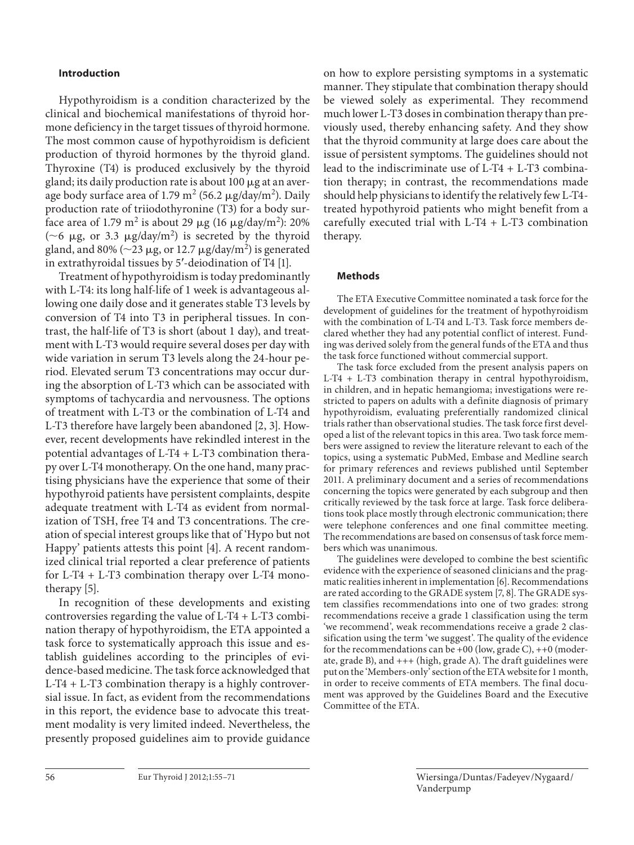#### **Introduction**

 Hypothyroidism is a condition characterized by the clinical and biochemical manifestations of thyroid hormone deficiency in the target tissues of thyroid hormone. The most common cause of hypothyroidism is deficient production of thyroid hormones by the thyroid gland. Thyroxine (T4) is produced exclusively by the thyroid gland; its daily production rate is about 100  $\mu$ g at an average body surface area of 1.79 m<sup>2</sup> (56.2  $\mu$ g/day/m<sup>2</sup>). Daily production rate of triiodothyronine (T3) for a body surface area of 1.79 m<sup>2</sup> is about 29  $\mu$ g (16  $\mu$ g/day/m<sup>2</sup>): 20% ( $\sim$ 6 µg, or 3.3 µg/day/m<sup>2</sup>) is secreted by the thyroid gland, and 80% ( $\sim$ 23 µg, or 12.7 µg/day/m<sup>2</sup>) is generated in extrathyroidal tissues by 5'-deiodination of T4 [1].

 Treatment of hypothyroidism is today predominantly with L-T4: its long half-life of 1 week is advantageous allowing one daily dose and it generates stable T3 levels by conversion of T4 into T3 in peripheral tissues. In contrast, the half-life of T3 is short (about 1 day), and treatment with L-T3 would require several doses per day with wide variation in serum T3 levels along the 24-hour period. Elevated serum T3 concentrations may occur during the absorption of L-T3 which can be associated with symptoms of tachycardia and nervousness. The options of treatment with L-T3 or the combination of L-T4 and L-T3 therefore have largely been abandoned [2, 3]. However, recent developments have rekindled interest in the potential advantages of L-T4 + L-T3 combination therapy over L-T4 monotherapy. On the one hand, many practising physicians have the experience that some of their hypothyroid patients have persistent complaints, despite adequate treatment with L-T4 as evident from normalization of TSH, free T4 and T3 concentrations. The creation of special interest groups like that of 'Hypo but not Happy' patients attests this point [4]. A recent randomized clinical trial reported a clear preference of patients for L-T4 + L-T3 combination therapy over L-T4 monotherapy [5].

 In recognition of these developments and existing controversies regarding the value of L-T4 + L-T3 combination therapy of hypothyroidism, the ETA appointed a task force to systematically approach this issue and establish guidelines according to the principles of evidence-based medicine. The task force acknowledged that L-T4 + L-T3 combination therapy is a highly controversial issue. In fact, as evident from the recommendations in this report, the evidence base to advocate this treatment modality is very limited indeed. Nevertheless, the presently proposed guidelines aim to provide guidance

on how to explore persisting symptoms in a systematic manner. They stipulate that combination therapy should be viewed solely as experimental. They recommend much lower L-T3 doses in combination therapy than previously used, thereby enhancing safety. And they show that the thyroid community at large does care about the issue of persistent symptoms. The guidelines should not lead to the indiscriminate use of L-T4 + L-T3 combination therapy; in contrast, the recommendations made should help physicians to identify the relatively few L-T4 treated hypothyroid patients who might benefit from a carefully executed trial with L-T4 + L-T3 combination therapy.

#### **Methods**

 The ETA Executive Committee nominated a task force for the development of guidelines for the treatment of hypothyroidism with the combination of L-T4 and L-T3. Task force members declared whether they had any potential conflict of interest. Funding was derived solely from the general funds of the ETA and thus the task force functioned without commercial support.

 The task force excluded from the present analysis papers on L-T4 + L-T3 combination therapy in central hypothyroidism, in children, and in hepatic hemangioma; investigations were restricted to papers on adults with a definite diagnosis of primary hypothyroidism, evaluating preferentially randomized clinical trials rather than observational studies. The task force first developed a list of the relevant topics in this area. Two task force members were assigned to review the literature relevant to each of the topics, using a systematic PubMed, Embase and Medline search for primary references and reviews published until September 2011. A preliminary document and a series of recommendations concerning the topics were generated by each subgroup and then critically reviewed by the task force at large. Task force deliberations took place mostly through electronic communication; there were telephone conferences and one final committee meeting. The recommendations are based on consensus of task force members which was unanimous.

 The guidelines were developed to combine the best scientific evidence with the experience of seasoned clinicians and the pragmatic realities inherent in implementation [6] . Recommendations are rated according to the GRADE system [7, 8]. The GRADE system classifies recommendations into one of two grades: strong recommendations receive a grade 1 classification using the term 'we recommend', weak recommendations receive a grade 2 classification using the term 'we suggest'. The quality of the evidence for the recommendations can be  $+00$  (low, grade C),  $++0$  (moderate, grade B), and +++ (high, grade A). The draft guidelines were put on the 'Members-only' section of the ETA website for 1 month, in order to receive comments of ETA members. The final document was approved by the Guidelines Board and the Executive Committee of the ETA.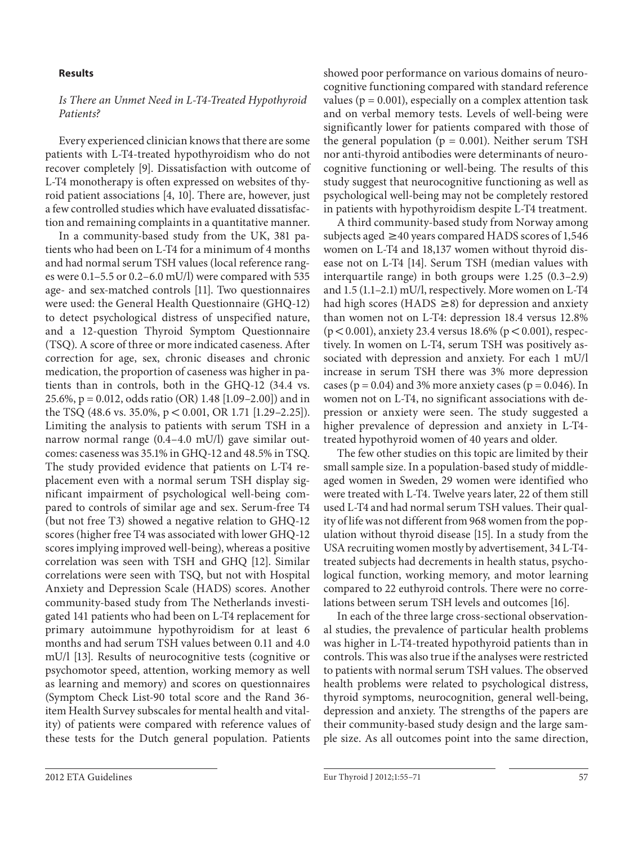#### **Results**

#### *Is There an Unmet Need in L-T4-Treated Hypothyroid Patients?*

 Every experienced clinician knows that there are some patients with L-T4-treated hypothyroidism who do not recover completely [9]. Dissatisfaction with outcome of L-T4 monotherapy is often expressed on websites of thyroid patient associations [4, 10]. There are, however, just a few controlled studies which have evaluated dissatisfaction and remaining complaints in a quantitative manner.

 In a community-based study from the UK, 381 patients who had been on L-T4 for a minimum of 4 months and had normal serum TSH values (local reference ranges were 0.1–5.5 or 0.2–6.0 mU/l) were compared with 535 age- and sex-matched controls [11]. Two questionnaires were used: the General Health Questionnaire (GHQ-12) to detect psychological distress of unspecified nature, and a 12-question Thyroid Symptom Questionnaire (TSQ). A score of three or more indicated caseness. After correction for age, sex, chronic diseases and chronic medication, the proportion of caseness was higher in patients than in controls, both in the GHQ-12 (34.4 vs. 25.6%, p = 0.012, odds ratio (OR) 1.48 [1.09–2.00]) and in the TSQ (48.6 vs. 35.0%,  $p < 0.001$ , OR 1.71 [1.29–2.25]). Limiting the analysis to patients with serum TSH in a narrow normal range (0.4–4.0 mU/l) gave similar outcomes: caseness was 35.1% in GHQ-12 and 48.5% in TSQ. The study provided evidence that patients on L-T4 replacement even with a normal serum TSH display significant impairment of psychological well-being compared to controls of similar age and sex. Serum-free T4 (but not free T3) showed a negative relation to GHQ-12 scores (higher free T4 was associated with lower GHQ-12 scores implying improved well-being), whereas a positive correlation was seen with TSH and GHQ [12]. Similar correlations were seen with TSQ, but not with Hospital Anxiety and Depression Scale (HADS) scores. Another community-based study from The Netherlands investigated 141 patients who had been on L-T4 replacement for primary autoimmune hypothyroidism for at least 6 months and had serum TSH values between 0.11 and 4.0 mU/l [13]. Results of neurocognitive tests (cognitive or psychomotor speed, attention, working memory as well as learning and memory) and scores on questionnaires (Symptom Check List-90 total score and the Rand 36 item Health Survey subscales for mental health and vitality) of patients were compared with reference values of these tests for the Dutch general population. Patients

showed poor performance on various domains of neurocognitive functioning compared with standard reference values ( $p = 0.001$ ), especially on a complex attention task and on verbal memory tests. Levels of well-being were significantly lower for patients compared with those of the general population ( $p = 0.001$ ). Neither serum TSH nor anti-thyroid antibodies were determinants of neurocognitive functioning or well-being. The results of this study suggest that neurocognitive functioning as well as psychological well-being may not be completely restored in patients with hypothyroidism despite L-T4 treatment.

 A third community-based study from Norway among subjects aged  $\geq$  40 years compared HADS scores of 1,546 women on L-T4 and 18,137 women without thyroid disease not on L-T4 [14]. Serum TSH (median values with interquartile range) in both groups were 1.25 (0.3–2.9) and 1.5 (1.1–2.1) mU/l, respectively. More women on L-T4 had high scores (HADS  $\geq$ 8) for depression and anxiety than women not on L-T4: depression 18.4 versus 12.8%  $(p < 0.001)$ , anxiety 23.4 versus 18.6% (p  $< 0.001$ ), respectively. In women on L-T4, serum TSH was positively associated with depression and anxiety. For each 1 mU/l increase in serum TSH there was 3% more depression cases ( $p = 0.04$ ) and 3% more anxiety cases ( $p = 0.046$ ). In women not on L-T4, no significant associations with depression or anxiety were seen. The study suggested a higher prevalence of depression and anxiety in L-T4 treated hypothyroid women of 40 years and older.

 The few other studies on this topic are limited by their small sample size. In a population-based study of middleaged women in Sweden, 29 women were identified who were treated with L-T4. Twelve years later, 22 of them still used L-T4 and had normal serum TSH values. Their quality of life was not different from 968 women from the population without thyroid disease [15] . In a study from the USA recruiting women mostly by advertisement, 34 L-T4 treated subjects had decrements in health status, psychological function, working memory, and motor learning compared to 22 euthyroid controls. There were no correlations between serum TSH levels and outcomes [16] .

 In each of the three large cross-sectional observational studies, the prevalence of particular health problems was higher in L-T4-treated hypothyroid patients than in controls. This was also true if the analyses were restricted to patients with normal serum TSH values. The observed health problems were related to psychological distress, thyroid symptoms, neurocognition, general well-being, depression and anxiety. The strengths of the papers are their community-based study design and the large sample size. As all outcomes point into the same direction,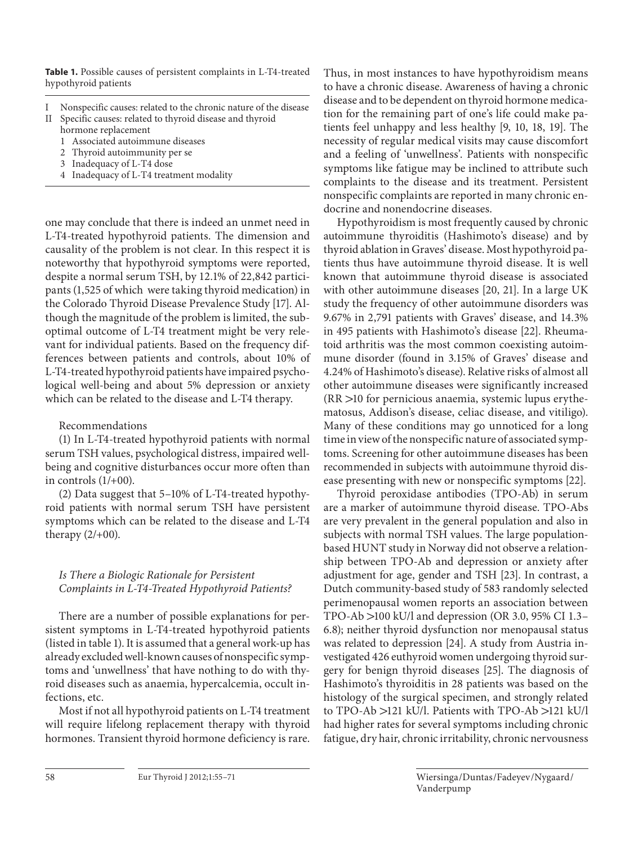**Table 1.** Possible causes of persistent complaints in L-T4-treated hypothyroid patients

- I Nonspecific causes: related to the chronic nature of the disease
- Specific causes: related to thyroid disease and thyroid hormone replacement
	- 1 Associated autoimmune diseases
	- 2 Thyroid autoimmunity per se
	- 3 Inadequacy of L-T4 dose
	- 4 Inadequacy of L-T4 treatment modality

one may conclude that there is indeed an unmet need in L-T4-treated hypothyroid patients. The dimension and causality of the problem is not clear. In this respect it is noteworthy that hypothyroid symptoms were reported, despite a normal serum TSH, by 12.1% of 22,842 participants (1,525 of which were taking thyroid medication) in the Colorado Thyroid Disease Prevalence Study [17] . Although the magnitude of the problem is limited, the suboptimal outcome of L-T4 treatment might be very relevant for individual patients. Based on the frequency differences between patients and controls, about 10% of L-T4-treated hypothyroid patients have impaired psychological well-being and about 5% depression or anxiety which can be related to the disease and L-T4 therapy.

# Recommendations

 (1) In L-T4-treated hypothyroid patients with normal serum TSH values, psychological distress, impaired wellbeing and cognitive disturbances occur more often than in controls  $(1/+00)$ .

 (2) Data suggest that 5–10% of L-T4-treated hypothyroid patients with normal serum TSH have persistent symptoms which can be related to the disease and L-T4 therapy  $(2/+00)$ .

# *Is There a Biologic Rationale for Persistent Complaints in L-T4-Treated Hypothyroid Patients?*

 There are a number of possible explanations for persistent symptoms in L-T4-treated hypothyroid patients (listed in table 1). It is assumed that a general work-up has already excluded well-known causes of nonspecific symptoms and 'unwellness' that have nothing to do with thyroid diseases such as anaemia, hypercalcemia, occult infections, etc.

 Most if not all hypothyroid patients on L-T4 treatment will require lifelong replacement therapy with thyroid hormones. Transient thyroid hormone deficiency is rare.

Thus, in most instances to have hypothyroidism means to have a chronic disease. Awareness of having a chronic disease and to be dependent on thyroid hormone medication for the remaining part of one's life could make patients feel unhappy and less healthy [9, 10, 18, 19]. The necessity of regular medical visits may cause discomfort and a feeling of 'unwellness'. Patients with nonspecific symptoms like fatigue may be inclined to attribute such complaints to the disease and its treatment. Persistent nonspecific complaints are reported in many chronic endocrine and nonendocrine diseases.

 Hypothyroidism is most frequently caused by chronic autoimmune thyroiditis (Hashimoto's disease) and by thyroid ablation in Graves' disease. Most hypothyroid patients thus have autoimmune thyroid disease. It is well known that autoimmune thyroid disease is associated with other autoimmune diseases [20, 21]. In a large UK study the frequency of other autoimmune disorders was 9.67% in 2,791 patients with Graves' disease, and 14.3% in 495 patients with Hashimoto's disease [22] . Rheumatoid arthritis was the most common coexisting autoimmune disorder (found in 3.15% of Graves' disease and 4.24% of Hashimoto's disease). Relative risks of almost all other autoimmune diseases were significantly increased  $(RR > 10$  for pernicious anaemia, systemic lupus erythematosus, Addison's disease, celiac disease, and vitiligo). Many of these conditions may go unnoticed for a long time in view of the nonspecific nature of associated symptoms. Screening for other autoimmune diseases has been recommended in subjects with autoimmune thyroid disease presenting with new or nonspecific symptoms [22] .

 Thyroid peroxidase antibodies (TPO-Ab) in serum are a marker of autoimmune thyroid disease. TPO-Abs are very prevalent in the general population and also in subjects with normal TSH values. The large populationbased HUNT study in Norway did not observe a relationship between TPO-Ab and depression or anxiety after adjustment for age, gender and TSH [23]. In contrast, a Dutch community-based study of 583 randomly selected perimenopausal women reports an association between TPO-Ab  $>$ 100 kU/l and depression (OR 3.0, 95% CI 1.3– 6.8); neither thyroid dysfunction nor menopausal status was related to depression [24]. A study from Austria investigated 426 euthyroid women undergoing thyroid surgery for benign thyroid diseases [25]. The diagnosis of Hashimoto's thyroiditis in 28 patients was based on the histology of the surgical specimen, and strongly related to TPO-Ab  $>121$  kU/l. Patients with TPO-Ab  $>121$  kU/l had higher rates for several symptoms including chronic fatigue, dry hair, chronic irritability, chronic nervousness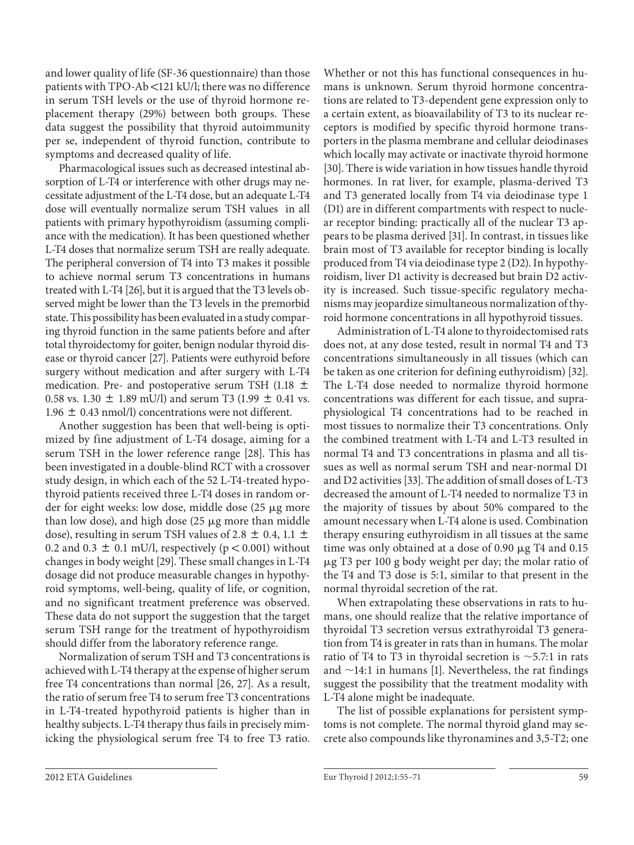and lower quality of life (SF-36 questionnaire) than those patients with  $TPO-Ab < 121$  kU/l; there was no difference in serum TSH levels or the use of thyroid hormone replacement therapy (29%) between both groups. These data suggest the possibility that thyroid autoimmunity per se, independent of thyroid function, contribute to symptoms and decreased quality of life.

 Pharmacological issues such as decreased intestinal absorption of L-T4 or interference with other drugs may necessitate adjustment of the L-T4 dose, but an adequate L-T4 dose will eventually normalize serum TSH values in all patients with primary hypothyroidism (assuming compliance with the medication). It has been questioned whether L-T4 doses that normalize serum TSH are really adequate. The peripheral conversion of T4 into T3 makes it possible to achieve normal serum T3 concentrations in humans treated with L-T4 [26], but it is argued that the T3 levels observed might be lower than the T3 levels in the premorbid state. This possibility has been evaluated in a study comparing thyroid function in the same patients before and after total thyroidectomy for goiter, benign nodular thyroid disease or thyroid cancer [27]. Patients were euthyroid before surgery without medication and after surgery with L-T4 medication. Pre- and postoperative serum TSH (1.18  $\pm$ 0.58 vs. 1.30  $\pm$  1.89 mU/l) and serum T3 (1.99  $\pm$  0.41 vs.  $1.96 \pm 0.43$  nmol/l) concentrations were not different.

 Another suggestion has been that well-being is optimized by fine adjustment of L-T4 dosage, aiming for a serum TSH in the lower reference range [28]. This has been investigated in a double-blind RCT with a crossover study design, in which each of the 52 L-T4-treated hypothyroid patients received three L-T4 doses in random order for eight weeks: low dose, middle dose (25 µg more than low dose), and high dose  $(25 \mu g$  more than middle dose), resulting in serum TSH values of 2.8  $\pm$  0.4, 1.1  $\pm$ 0.2 and 0.3  $\pm$  0.1 mU/l, respectively (p < 0.001) without changes in body weight [29] . These small changes in L-T4 dosage did not produce measurable changes in hypothyroid symptoms, well-being, quality of life, or cognition, and no significant treatment preference was observed. These data do not support the suggestion that the target serum TSH range for the treatment of hypothyroidism should differ from the laboratory reference range.

 Normalization of serum TSH and T3 concentrations is achieved with L-T4 therapy at the expense of higher serum free T4 concentrations than normal [26, 27]. As a result, the ratio of serum free T4 to serum free T3 concentrations in L-T4-treated hypothyroid patients is higher than in healthy subjects. L-T4 therapy thus fails in precisely mimicking the physiological serum free T4 to free T3 ratio. Whether or not this has functional consequences in humans is unknown. Serum thyroid hormone concentrations are related to T3-dependent gene expression only to a certain extent, as bioavailability of T3 to its nuclear receptors is modified by specific thyroid hormone transporters in the plasma membrane and cellular deiodinases which locally may activate or inactivate thyroid hormone [30]. There is wide variation in how tissues handle thyroid hormones. In rat liver, for example, plasma-derived T3 and T3 generated locally from T4 via deiodinase type 1 (D1) are in different compartments with respect to nuclear receptor binding: practically all of the nuclear T3 appears to be plasma derived [31] . In contrast, in tissues like brain most of T3 available for receptor binding is locally produced from T4 via deiodinase type 2 (D2). In hypothyroidism, liver D1 activity is decreased but brain D2 activity is increased. Such tissue-specific regulatory mechanisms may jeopardize simultaneous normalization of thyroid hormone concentrations in all hypothyroid tissues.

 Administration of L-T4 alone to thyroidectomised rats does not, at any dose tested, result in normal T4 and T3 concentrations simultaneously in all tissues (which can be taken as one criterion for defining euthyroidism) [32] . The L-T4 dose needed to normalize thyroid hormone concentrations was different for each tissue, and supraphysiological T4 concentrations had to be reached in most tissues to normalize their T3 concentrations. Only the combined treatment with L-T4 and L-T3 resulted in normal T4 and T3 concentrations in plasma and all tissues as well as normal serum TSH and near-normal D1 and D2 activities [33]. The addition of small doses of L-T3 decreased the amount of L-T4 needed to normalize T3 in the majority of tissues by about 50% compared to the amount necessary when L-T4 alone is used. Combination therapy ensuring euthyroidism in all tissues at the same time was only obtained at a dose of  $0.90 \mu g$  T4 and  $0.15$ - g T3 per 100 g body weight per day; the molar ratio of the T4 and T3 dose is 5:1, similar to that present in the normal thyroidal secretion of the rat.

 When extrapolating these observations in rats to humans, one should realize that the relative importance of thyroidal T3 secretion versus extrathyroidal T3 generation from T4 is greater in rats than in humans. The molar ratio of T4 to T3 in thyroidal secretion is  $\sim$  5.7:1 in rats and  $\sim$ 14:1 in humans [1]. Nevertheless, the rat findings suggest the possibility that the treatment modality with L-T4 alone might be inadequate.

 The list of possible explanations for persistent symptoms is not complete. The normal thyroid gland may secrete also compounds like thyronamines and 3,5-T2; one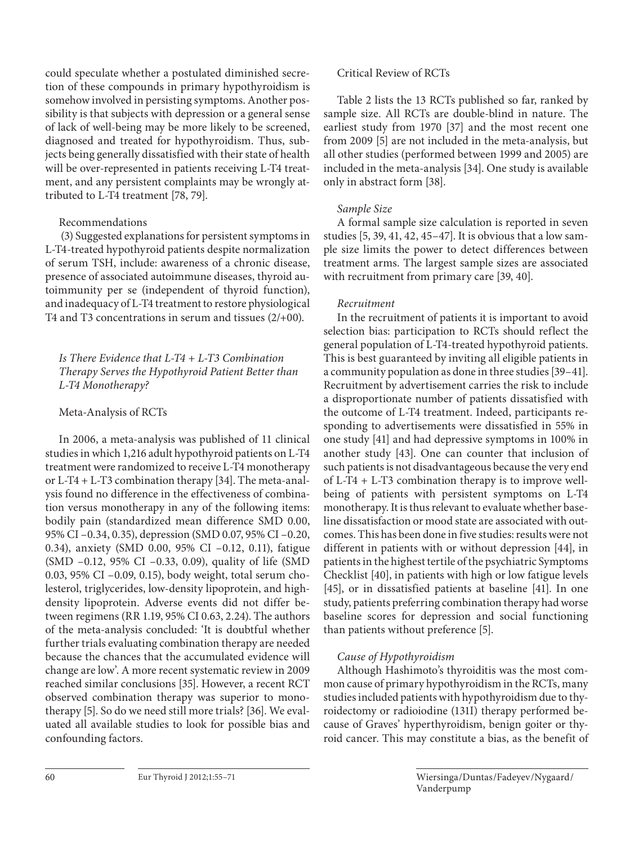could speculate whether a postulated diminished secretion of these compounds in primary hypothyroidism is somehow involved in persisting symptoms. Another possibility is that subjects with depression or a general sense of lack of well-being may be more likely to be screened, diagnosed and treated for hypothyroidism. Thus, subjects being generally dissatisfied with their state of health will be over-represented in patients receiving L-T4 treatment, and any persistent complaints may be wrongly attributed to L-T4 treatment [78, 79].

Recommendations

 (3) Suggested explanations for persistent symptoms in L-T4-treated hypothyroid patients despite normalization of serum TSH, include: awareness of a chronic disease, presence of associated autoimmune diseases, thyroid autoimmunity per se (independent of thyroid function), and inadequacy of L-T4 treatment to restore physiological T4 and T3 concentrations in serum and tissues (2/+00).

 *Is There Evidence that L-T4 + L-T3 Combination Therapy Serves the Hypothyroid Patient Better than L-T4 Monotherapy?* 

# Meta-Analysis of RCTs

 In 2006, a meta-analysis was published of 11 clinical studies in which 1,216 adult hypothyroid patients on L-T4 treatment were randomized to receive L-T4 monotherapy or L-T4 + L-T3 combination therapy [34] . The meta-analysis found no difference in the effectiveness of combination versus monotherapy in any of the following items: bodily pain (standardized mean difference SMD 0.00, 95% CI –0.34, 0.35), depression (SMD 0.07, 95% CI –0.20, 0.34), anxiety (SMD 0.00, 95% CI –0.12, 0.11), fatigue (SMD –0.12, 95% CI –0.33, 0.09), quality of life (SMD 0.03, 95% CI –0.09, 0.15), body weight, total serum cholesterol, triglycerides, low-density lipoprotein, and highdensity lipoprotein. Adverse events did not differ between regimens (RR 1.19, 95% CI 0.63, 2.24). The authors of the meta-analysis concluded: 'It is doubtful whether further trials evaluating combination therapy are needed because the chances that the accumulated evidence will change are low'. A more recent systematic review in 2009 reached similar conclusions [35]. However, a recent RCT observed combination therapy was superior to monotherapy [5]. So do we need still more trials? [36]. We evaluated all available studies to look for possible bias and confounding factors.

# Critical Review of RCTs

 Table 2 lists the 13 RCTs published so far, ranked by sample size. All RCTs are double-blind in nature. The earliest study from 1970 [37] and the most recent one from 2009 [5] are not included in the meta-analysis, but all other studies (performed between 1999 and 2005) are included in the meta-analysis [34] . One study is available only in abstract form [38].

# *Sample Size*

A formal sample size calculation is reported in seven studies [5, 39, 41, 42, 45–47] . It is obvious that a low sample size limits the power to detect differences between treatment arms. The largest sample sizes are associated with recruitment from primary care [39, 40].

# *Recruitment*

In the recruitment of patients it is important to avoid selection bias: participation to RCTs should reflect the general population of L-T4-treated hypothyroid patients. This is best guaranteed by inviting all eligible patients in a community population as done in three studies [39–41] . Recruitment by advertisement carries the risk to include a disproportionate number of patients dissatisfied with the outcome of L-T4 treatment. Indeed, participants responding to advertisements were dissatisfied in 55% in one study [41] and had depressive symptoms in 100% in another study [43]. One can counter that inclusion of such patients is not disadvantageous because the very end of L-T4 + L-T3 combination therapy is to improve wellbeing of patients with persistent symptoms on L-T4 monotherapy. It is thus relevant to evaluate whether baseline dissatisfaction or mood state are associated with outcomes. This has been done in five studies: results were not different in patients with or without depression [44], in patients in the highest tertile of the psychiatric Symptoms Checklist [40], in patients with high or low fatigue levels [45], or in dissatisfied patients at baseline [41]. In one study, patients preferring combination therapy had worse baseline scores for depression and social functioning than patients without preference [5].

# *Cause of Hypothyroidism*

Although Hashimoto's thyroiditis was the most common cause of primary hypothyroidism in the RCTs, many studies included patients with hypothyroidism due to thyroidectomy or radioiodine (131I) therapy performed because of Graves' hyperthyroidism, benign goiter or thyroid cancer. This may constitute a bias, as the benefit of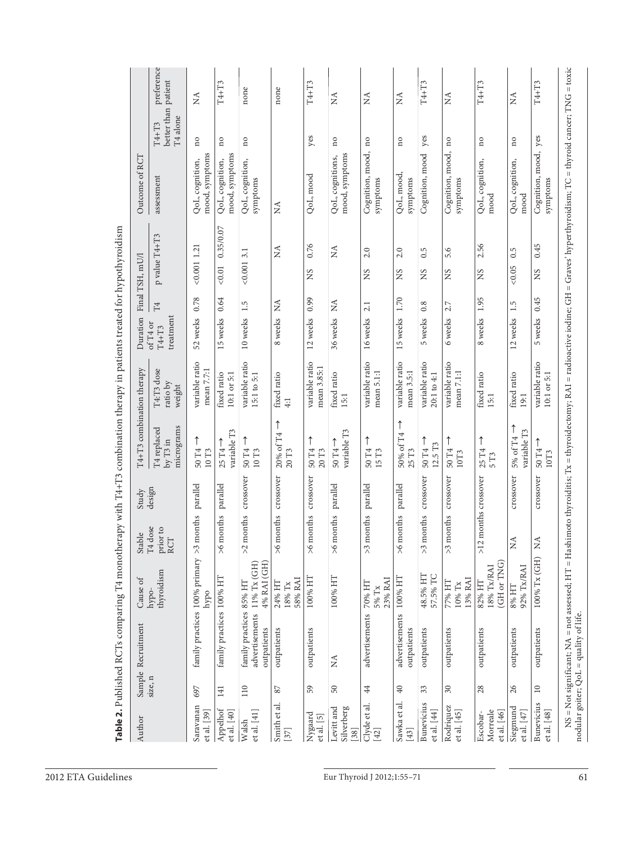|                           | preference                                   | $\stackrel{\triangle}{\scriptstyle\sim}$ | $\text{T4+T3}$                                   | none                                                     | none                                     | T4+T3                          | $\stackrel{\triangle}{\scriptstyle\sim}$ | $\mathop{\mathsf{X}}\nolimits$ | $\tilde{X}$                         | T4+T3                                         | $\stackrel{\triangle}{\scriptstyle\sim}$ | T4+T3                               | $\stackrel{\triangle}{\scriptstyle\sim}$ | $T4+T3$                           |
|---------------------------|----------------------------------------------|------------------------------------------|--------------------------------------------------|----------------------------------------------------------|------------------------------------------|--------------------------------|------------------------------------------|--------------------------------|-------------------------------------|-----------------------------------------------|------------------------------------------|-------------------------------------|------------------------------------------|-----------------------------------|
|                           | better than patient<br>T4 alone<br>$T4+T3$   | no                                       | $\overline{\mathbf{n}}$                          | $\overline{n}$                                           |                                          | yes                            | $\overline{n}$                           | $\overline{\phantom{a}}$       | $\overline{n}$                      | yes                                           | $\overline{\mathbf{n}}$                  | $\overline{\mathbf{n}}$             | $\overline{n}$                           |                                   |
| Outcome of RCT            | assessment                                   | mood, symptoms<br>QoL, cognition,        | mood, symptoms<br>QoL, cognition,                | QoL, cognition,<br>symptoms                              | Ź                                        | QoL, mood                      | mood, symptoms<br>QoL, cognitions,       | Cognition, mood,<br>symptoms   | QoL, mood,<br>symptoms              | Cognition, mood                               | Cognition, mood,<br>symptoms             | QoL, cognition,<br>mood             | QoL, cognition,<br>mood                  | Cognition, mood, yes<br>symptoms  |
| Final TSH, mU/l           | p value T4+T3                                | $< 0.001$ 1.21                           | 0.35/0.07<br>$<0.01$                             | 0.0013.1                                                 | Ř                                        | 0.76<br>SN                     | $\stackrel{\triangle}{\scriptstyle\sim}$ | 2.0<br>SN                      | 2.0<br>SN                           | 0.5<br>SN                                     | 5.6<br>SN                                | 2.56<br>SN                          | 0.5<br>&0.05                             | 0.45<br>SN                        |
|                           | $\mathbb{T}4$                                | 0.78                                     | 0.64                                             | 1.5                                                      |                                          | 0.99                           | $\mathbb{E}^{\mathcal{A}}$               | 2.1                            | 1.70                                | 0.8                                           | 2.7                                      |                                     | 1.5                                      |                                   |
| Duration                  | treatment<br>of T <sub>4</sub> or<br>$T4+T3$ | 52 weeks                                 | 15 weeks                                         | 10 weeks                                                 | 8 weeks NA                               | 12 weeks                       | 36 weeks                                 | 16 weeks                       | 15 weeks                            | 5 weeks                                       | 6 weeks                                  | 8 weeks 1.95                        | 12 weeks                                 | 5 weeks 0.45                      |
|                           | T4:T3 dose<br>ratio by<br>weight             | variable ratio<br>mean $7.7:1$           | fixed ratio<br>10:1 or 5:1                       | variable ratio<br>15:1 to 5:1                            | fixed ratio<br>$4:1$                     | variable ratio<br>mean 3.85:1  | fixed ratio<br>15:1                      | variable ratio<br>mean 5.1:1   | variable ratio<br>mean 3.5:1        | variable ratio<br>20:1 to 4:1                 | variable ratio<br>mean $7.1:1$           | fixed ratio<br>15:1                 | fixed ratio<br>19:1                      | variable ratio<br>$10:1$ or $5:1$ |
| T4+T3 combination therapy | micrograms<br>T4 replaced<br>$by$ T3 in      | 50 T <sub>4</sub><br>$10\;\rm{T}3$       | variable T3<br>$25$ T <sub>4</sub> $\rightarrow$ | 50 T <sub>4</sub><br>$10\;\rm{T}3$                       | $\uparrow$<br>20% of T4<br>$20\;\rm{T}3$ | ↑<br>50 T <sub>4</sub><br>20T3 | variable T3<br>$50T4 \rightarrow$        | ↑<br>50 T <sub>4</sub><br>15T3 | ↑<br>50% of T4<br>25 T <sub>3</sub> | T<br>12.5 T <sub>3</sub><br>50 T <sub>4</sub> | ↑<br>50 T <sub>4</sub><br>10T3           | 25 T <sub>4</sub><br>5T3            | ↑<br>variable T3<br>5% of T4             | $50T4 \rightarrow$<br>10T3        |
| Study<br>design           |                                              | parallel                                 | parallel                                         | crossover                                                | months crossover                         | crossover                      | parallel                                 |                                | parallel                            | crossover                                     | crossover                                |                                     | crossover                                | crossover                         |
| Stable                    | T4 dose<br>prior to<br>RCT                   | months<br>$\lesssim$                     | months<br>$\frac{6}{2}$                          | months<br>$\geq$                                         | $\geqslant$                              | months<br>$\frac{6}{2}$        | months<br>$\frac{6}{2}$                  | months parallel<br>$\lesssim$  | months<br>$\geqslant$               | months<br>$\lesssim$                          | months<br>$\lesssim$                     | >12 months crossover                | $\stackrel{\triangle}{\geq}$             | $\lesssim$                        |
| Cause of                  | thyroidism<br>hypo-                          | hypo                                     |                                                  | 4% RAI (GH)<br>$11\%$ Tx (GH)                            | 58% RAI<br>24% HT<br>$18\%$ Tx           | 100% HT                        | 100% HT                                  | 23% RAI<br>70% HT<br>$5\%$ Tx  | 100% HT                             | 48.5% HT<br>57.5% TC                          | 13% RAI<br>77% HT<br>10% Tx              | (GH or TNG)<br>18% Tx/RAI<br>82% HT | 92% Tx/RAI<br>$8\%$ HT                   | 100% Tx (GH)                      |
| Sample Recruitment        |                                              | family practices 100% primary            | family practices 100% HT                         | family practices 85% HT<br>advertisements<br>outpatients | outpatients                              | outpatients                    | $\tilde{z}$                              | advertisements                 | advertisements<br>outpatients       | outpatients                                   | outpatients                              | outpatients                         | outpatients                              | outpatients                       |
|                           | size, n                                      | 697                                      | 141                                              | 110                                                      | $87\,$                                   | 59                             | $50\,$                                   | $44\,$                         | $\rm 40$                            | $33\,$                                        | $30\,$                                   | 28                                  | 26                                       | $10\,$                            |
| Author                    |                                              | Saravanan<br>et al. [39]                 | Appelhof<br>et al. [40]                          | et al. [41]<br>Walsh                                     | Smith et al.<br>$[37]$                   | Nygaard<br>etal. [5]           | Levitt and<br>Silverberg<br>$[38]$       | Clyde et al.<br>$[42]$         | Sawka et al.<br>$[43]$              | Bunevicius<br>et al. [44]                     | Rodriquez<br>et al. [45]                 | Morreale<br>et al. [46]<br>Escobar- | Siegmund<br>et al. $[47]$                | <b>Bunevicius</b><br>et al. [48]  |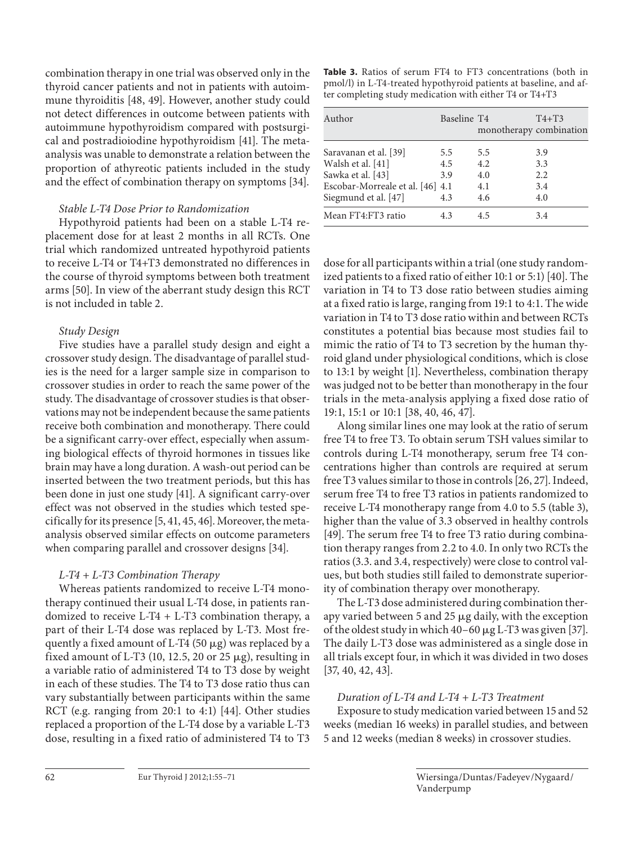combination therapy in one trial was observed only in the thyroid cancer patients and not in patients with autoimmune thyroiditis [48, 49]. However, another study could not detect differences in outcome between patients with autoimmune hypothyroidism compared with postsurgical and postradioiodine hypothyroidism [41]. The metaanalysis was unable to demonstrate a relation between the proportion of athyreotic patients included in the study and the effect of combination therapy on symptoms [34] .

## *Stable L-T4 Dose Prior to Randomization*

Hypothyroid patients had been on a stable L-T4 replacement dose for at least 2 months in all RCTs. One trial which randomized untreated hypothyroid patients to receive L-T4 or T4+T3 demonstrated no differences in the course of thyroid symptoms between both treatment arms [50]. In view of the aberrant study design this RCT is not included in table 2.

# *Study Design*

Five studies have a parallel study design and eight a crossover study design. The disadvantage of parallel studies is the need for a larger sample size in comparison to crossover studies in order to reach the same power of the study. The disadvantage of crossover studies is that observations may not be independent because the same patients receive both combination and monotherapy. There could be a significant carry-over effect, especially when assuming biological effects of thyroid hormones in tissues like brain may have a long duration. A wash-out period can be inserted between the two treatment periods, but this has been done in just one study [41]. A significant carry-over effect was not observed in the studies which tested specifically for its presence [5, 41, 45, 46] . Moreover, the metaanalysis observed similar effects on outcome parameters when comparing parallel and crossover designs [34].

# *L-T4 + L-T3 Combination Therapy*

Whereas patients randomized to receive L-T4 monotherapy continued their usual L-T4 dose, in patients randomized to receive L-T4 + L-T3 combination therapy, a part of their L-T4 dose was replaced by L-T3. Most frequently a fixed amount of L-T4 (50  $\mu$ g) was replaced by a fixed amount of L-T3 (10, 12.5, 20 or 25  $\mu$ g), resulting in a variable ratio of administered T4 to T3 dose by weight in each of these studies. The T4 to T3 dose ratio thus can vary substantially between participants within the same RCT (e.g. ranging from 20:1 to 4:1) [44]. Other studies replaced a proportion of the L-T4 dose by a variable L-T3 dose, resulting in a fixed ratio of administered T4 to T3

**Table 3.** Ratios of serum FT4 to FT3 concentrations (both in pmol/l) in L-T4-treated hypothyroid patients at baseline, and after completing study medication with either T4 or T4+T3

| Author                           | Baseline T4 | monotherapy combination | $T4+T3$ |
|----------------------------------|-------------|-------------------------|---------|
| Saravanan et al. [39]            | 5.5         | 5.5                     | 3.9     |
| Walsh et al. [41]                | 4.5         | 4.2                     | 3.3     |
| Sawka et al. [43]                | 3.9         | 4.0                     | 2.2     |
| Escobar-Morreale et al. [46] 4.1 |             | 4.1                     | 3.4     |
| Siegmund et al. [47]             | 4.3         | 4.6                     | 4.0     |
| Mean FT4:FT3 ratio               | 43          | 45                      | 3.4     |

dose for all participants within a trial (one study randomized patients to a fixed ratio of either 10:1 or 5:1) [40]. The variation in T4 to T3 dose ratio between studies aiming at a fixed ratio is large, ranging from 19:1 to 4:1. The wide variation in T4 to T3 dose ratio within and between RCTs constitutes a potential bias because most studies fail to mimic the ratio of T4 to T3 secretion by the human thyroid gland under physiological conditions, which is close to 13:1 by weight [1]. Nevertheless, combination therapy was judged not to be better than monotherapy in the four trials in the meta-analysis applying a fixed dose ratio of 19:1, 15:1 or 10:1 [38, 40, 46, 47] .

 Along similar lines one may look at the ratio of serum free T4 to free T3. To obtain serum TSH values similar to controls during L-T4 monotherapy, serum free T4 concentrations higher than controls are required at serum free T3 values similar to those in controls [26, 27] . Indeed, serum free T4 to free T3 ratios in patients randomized to receive L-T4 monotherapy range from 4.0 to 5.5 (table 3), higher than the value of 3.3 observed in healthy controls [49]. The serum free T4 to free T3 ratio during combination therapy ranges from 2.2 to 4.0. In only two RCTs the ratios (3.3. and 3.4, respectively) were close to control values, but both studies still failed to demonstrate superiority of combination therapy over monotherapy.

 The L-T3 dose administered during combination therapy varied between 5 and 25  $\mu$ g daily, with the exception of the oldest study in which  $40-60 \,\mu g$  L-T3 was given [37]. The daily L-T3 dose was administered as a single dose in all trials except four, in which it was divided in two doses [37, 40, 42, 43] .

# *Duration of L-T4 and L-T4 + L-T3 Treatment*

Exposure to study medication varied between 15 and 52 weeks (median 16 weeks) in parallel studies, and between 5 and 12 weeks (median 8 weeks) in crossover studies.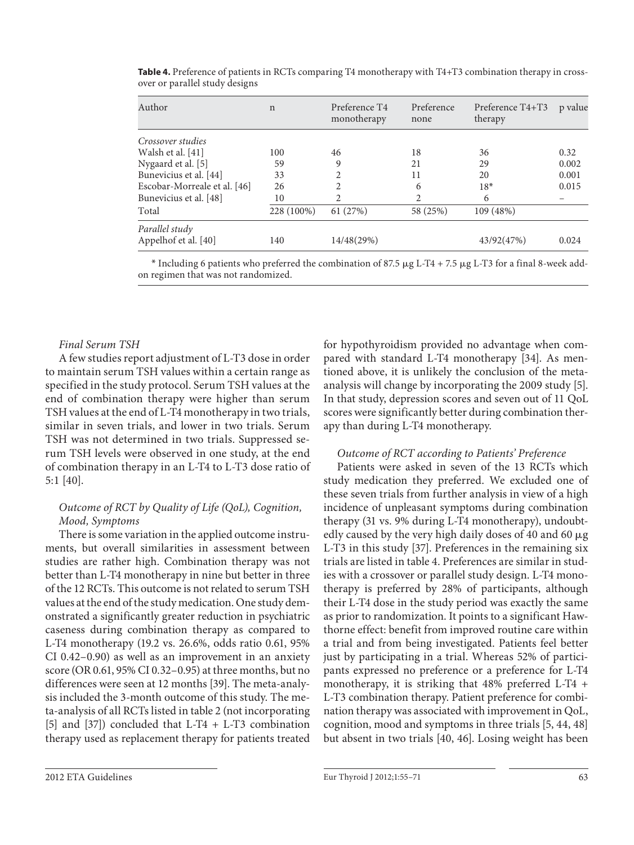| Author                                 | $\mathbf n$ | Preference T4<br>monotherapy | Preference<br>none | Preference T4+T3<br>therapy | p value |
|----------------------------------------|-------------|------------------------------|--------------------|-----------------------------|---------|
| Crossover studies                      |             |                              |                    |                             |         |
| Walsh et al. [41]                      | 100         | 46                           | 18                 | 36                          | 0.32    |
| Nygaard et al. [5]                     | 59          | 9                            | 21                 | 29                          | 0.002   |
| Bunevicius et al. [44]                 | 33          |                              | 11                 | 20                          | 0.001   |
| Escobar-Morreale et al. [46]           | 26          | $\mathfrak{D}$               | 6                  | $18*$                       | 0.015   |
| Bunevicius et al. [48]                 | 10          | $\mathfrak{D}$               | $\overline{2}$     | 6                           |         |
| Total                                  | 228 (100%)  | 61 (27%)                     | 58 (25%)           | 109 (48%)                   |         |
| Parallel study<br>Appelhof et al. [40] | 140         | 14/48(29%)                   |                    | 43/92(47%)                  | 0.024   |

**Table 4.** Preference of patients in RCTs comparing T4 monotherapy with T4+T3 combination therapy in crossover or parallel study designs

 $*$  Including 6 patients who preferred the combination of 87.5  $\mu$ g L-T4 + 7.5  $\mu$ g L-T3 for a final 8-week addon regimen that was not randomized.

## *Final Serum TSH*

A few studies report adjustment of L-T3 dose in order to maintain serum TSH values within a certain range as specified in the study protocol. Serum TSH values at the end of combination therapy were higher than serum TSH values at the end of L-T4 monotherapy in two trials, similar in seven trials, and lower in two trials. Serum TSH was not determined in two trials. Suppressed serum TSH levels were observed in one study, at the end of combination therapy in an L-T4 to L-T3 dose ratio of 5:1 [40] .

## *Outcome of RCT by Quality of Life (QoL), Cognition, Mood, Symptoms*

There is some variation in the applied outcome instruments, but overall similarities in assessment between studies are rather high. Combination therapy was not better than L-T4 monotherapy in nine but better in three of the 12 RCTs. This outcome is not related to serum TSH values at the end of the study medication. One study demonstrated a significantly greater reduction in psychiatric caseness during combination therapy as compared to L-T4 monotherapy (19.2 vs. 26.6%, odds ratio 0.61, 95% CI 0.42–0.90) as well as an improvement in an anxiety score (OR 0.61, 95% CI 0.32–0.95) at three months, but no differences were seen at 12 months [39]. The meta-analysis included the 3-month outcome of this study. The meta-analysis of all RCTs listed in table 2 (not incorporating [5] and [37]) concluded that L-T4 + L-T3 combination therapy used as replacement therapy for patients treated

for hypothyroidism provided no advantage when compared with standard L-T4 monotherapy [34]. As mentioned above, it is unlikely the conclusion of the metaanalysis will change by incorporating the 2009 study [5] . In that study, depression scores and seven out of 11 QoL scores were significantly better during combination therapy than during L-T4 monotherapy.

#### *Outcome of RCT according to Patients' Preference*

Patients were asked in seven of the 13 RCTs which study medication they preferred. We excluded one of these seven trials from further analysis in view of a high incidence of unpleasant symptoms during combination therapy (31 vs. 9% during L-T4 monotherapy), undoubtedly caused by the very high daily doses of 40 and 60  $\mu$ g L-T3 in this study [37]. Preferences in the remaining six trials are listed in table 4 . Preferences are similar in studies with a crossover or parallel study design. L-T4 monotherapy is preferred by 28% of participants, although their L-T4 dose in the study period was exactly the same as prior to randomization. It points to a significant Hawthorne effect: benefit from improved routine care within a trial and from being investigated. Patients feel better just by participating in a trial. Whereas 52% of participants expressed no preference or a preference for L-T4 monotherapy, it is striking that 48% preferred L-T4 + L-T3 combination therapy. Patient preference for combination therapy was associated with improvement in QoL, cognition, mood and symptoms in three trials [5, 44, 48] but absent in two trials [40, 46]. Losing weight has been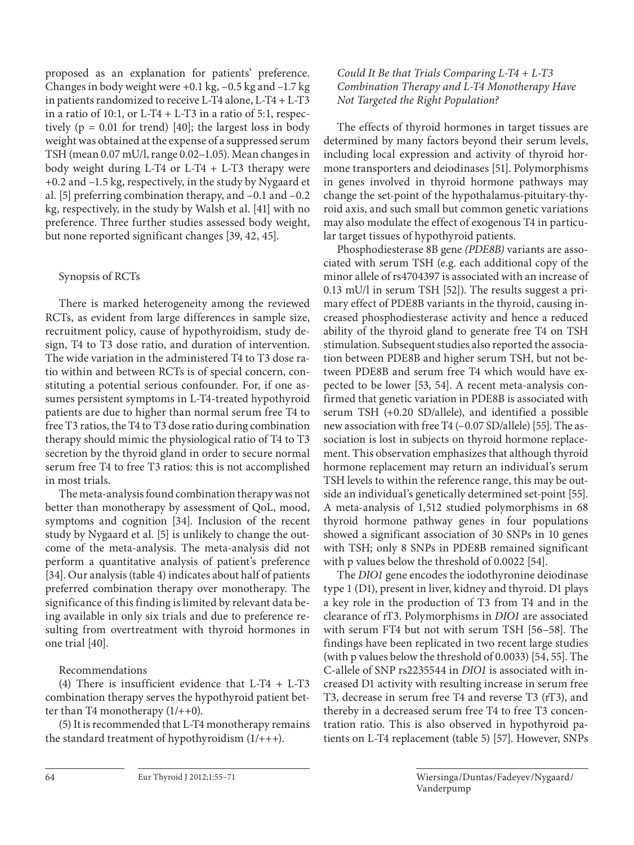proposed as an explanation for patients' preference. Changes in body weight were  $+0.1$  kg,  $-0.5$  kg and  $-1.7$  kg in patients randomized to receive L-T4 alone, L-T4 + L-T3 in a ratio of 10:1, or L-T4 + L-T3 in a ratio of 5:1, respectively ( $p = 0.01$  for trend) [40]; the largest loss in body weight was obtained at the expense of a suppressed serum TSH (mean 0.07 mU/l, range 0.02–1.05). Mean changes in body weight during L-T4 or L-T4  $+$  L-T3 therapy were +0.2 and –1.5 kg, respectively, in the study by Nygaard et al. [5] preferring combination therapy, and –0.1 and –0.2 kg, respectively, in the study by Walsh et al. [41] with no preference. Three further studies assessed body weight, but none reported significant changes [39, 42, 45] .

# Synopsis of RCTs

 There is marked heterogeneity among the reviewed RCTs, as evident from large differences in sample size, recruitment policy, cause of hypothyroidism, study design, T4 to T3 dose ratio, and duration of intervention. The wide variation in the administered T4 to T3 dose ratio within and between RCTs is of special concern, constituting a potential serious confounder. For, if one assumes persistent symptoms in L-T4-treated hypothyroid patients are due to higher than normal serum free T4 to free T3 ratios, the T4 to T3 dose ratio during combination therapy should mimic the physiological ratio of T4 to T3 secretion by the thyroid gland in order to secure normal serum free T4 to free T3 ratios: this is not accomplished in most trials.

 The meta-analysis found combination therapy was not better than monotherapy by assessment of QoL, mood, symptoms and cognition [34]. Inclusion of the recent study by Nygaard et al. [5] is unlikely to change the outcome of the meta-analysis. The meta-analysis did not perform a quantitative analysis of patient's preference [34]. Our analysis (table 4) indicates about half of patients preferred combination therapy over monotherapy. The significance of this finding is limited by relevant data being available in only six trials and due to preference resulting from overtreatment with thyroid hormones in one trial [40].

Recommendations

 (4) There is insufficient evidence that L-T4 + L-T3 combination therapy serves the hypothyroid patient better than T4 monotherapy  $(1/++0)$ .

 (5) It is recommended that L-T4 monotherapy remains the standard treatment of hypothyroidism  $(1/++)$ .

# *Could It Be that Trials Comparing L-T4 + L-T3 Combination Therapy and L-T4 Monotherapy Have Not Targeted the Right Population?*

 The effects of thyroid hormones in target tissues are determined by many factors beyond their serum levels, including local expression and activity of thyroid hormone transporters and deiodinases [51]. Polymorphisms in genes involved in thyroid hormone pathways may change the set-point of the hypothalamus-pituitary-thyroid axis, and such small but common genetic variations may also modulate the effect of exogenous T4 in particular target tissues of hypothyroid patients.

 Phosphodiesterase 8B gene *(PDE8B)* variants are associated with serum TSH (e.g. each additional copy of the minor allele of rs4704397 is associated with an increase of 0.13 mU/l in serum TSH  $[52]$ ). The results suggest a primary effect of PDE8B variants in the thyroid, causing increased phosphodiesterase activity and hence a reduced ability of the thyroid gland to generate free T4 on TSH stimulation. Subsequent studies also reported the association between PDE8B and higher serum TSH, but not between PDE8B and serum free T4 which would have expected to be lower [53, 54] . A recent meta-analysis confirmed that genetic variation in PDE8B is associated with serum TSH (+0.20 SD/allele), and identified a possible new association with free T4 (-0.07 SD/allele) [55]. The association is lost in subjects on thyroid hormone replacement. This observation emphasizes that although thyroid hormone replacement may return an individual's serum TSH levels to within the reference range, this may be outside an individual's genetically determined set-point [55] . A meta-analysis of 1,512 studied polymorphisms in 68 thyroid hormone pathway genes in four populations showed a significant association of 30 SNPs in 10 genes with TSH; only 8 SNPs in PDE8B remained significant with p values below the threshold of 0.0022 [54].

 The *DIO1* gene encodes the iodothyronine deiodinase type 1 (D1), present in liver, kidney and thyroid. D1 plays a key role in the production of T3 from T4 and in the clearance of rT3. Polymorphisms in *DIO1* are associated with serum FT4 but not with serum TSH [56-58]. The findings have been replicated in two recent large studies (with p values below the threshold of 0.0033) [54, 55] . The C-allele of SNP rs2235544 in *DIO1* is associated with increased D1 activity with resulting increase in serum free T3, decrease in serum free T4 and reverse T3 (rT3), and thereby in a decreased serum free T4 to free T3 concentration ratio. This is also observed in hypothyroid patients on L-T4 replacement (table 5) [57]. However, SNPs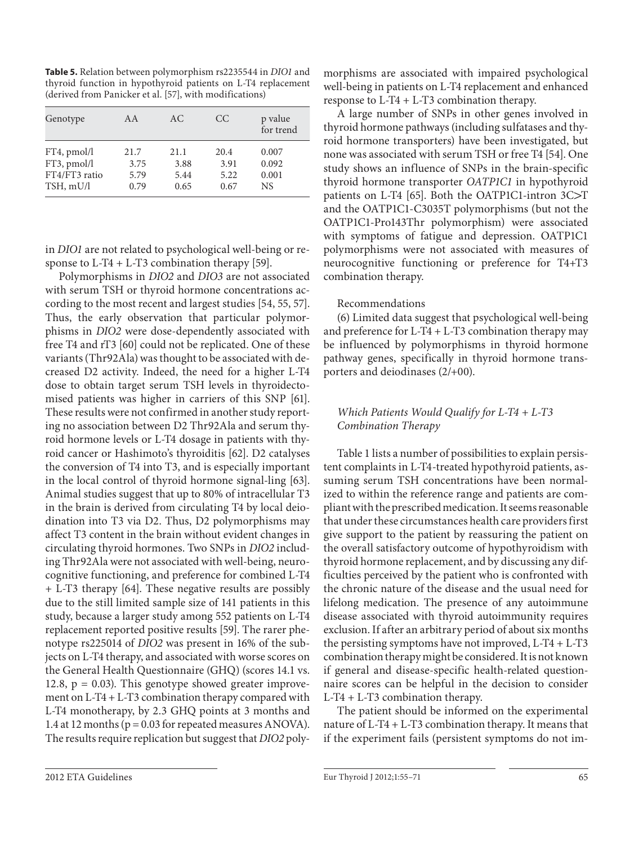**Table 5.** Relation between polymorphism rs2235544 in *DIO1* and thyroid function in hypothyroid patients on L-T4 replacement (derived from Panicker et al. [57], with modifications)

| Genotype      | A A  | AC   | CC   | p value<br>for trend |
|---------------|------|------|------|----------------------|
| FT4, pmol/l   | 21.7 | 21.1 | 20.4 | 0.007                |
| FT3, pmol/l   | 3.75 | 3.88 | 3.91 | 0.092                |
| FT4/FT3 ratio | 5.79 | 5.44 | 5.22 | 0.001                |
| TSH, mU/l     | 0.79 | 0.65 | 0.67 | <b>NS</b>            |

in *DIO1* are not related to psychological well-being or response to  $L-T4 + L-T3$  combination therapy [59].

 Polymorphisms in *DIO2* and *DIO3* are not associated with serum TSH or thyroid hormone concentrations according to the most recent and largest studies [54, 55, 57] . Thus, the early observation that particular polymorphisms in *DIO2* were dose-dependently associated with free T4 and rT3 [60] could not be replicated. One of these variants (Thr92Ala) was thought to be associated with decreased D2 activity. Indeed, the need for a higher L-T4 dose to obtain target serum TSH levels in thyroidectomised patients was higher in carriers of this SNP [61]. These results were not confirmed in another study reporting no association between D2 Thr92Ala and serum thyroid hormone levels or L-T4 dosage in patients with thyroid cancer or Hashimoto's thyroiditis [62]. D2 catalyses the conversion of T4 into T3, and is especially important in the local control of thyroid hormone signal-ling [63]. Animal studies suggest that up to 80% of intracellular T3 in the brain is derived from circulating T4 by local deiodination into T3 via D2. Thus, D2 polymorphisms may affect T3 content in the brain without evident changes in circulating thyroid hormones. Two SNPs in *DIO2* including Thr92Ala were not associated with well-being, neurocognitive functioning, and preference for combined L-T4 + L-T3 therapy [64]. These negative results are possibly due to the still limited sample size of 141 patients in this study, because a larger study among 552 patients on L-T4 replacement reported positive results [59]. The rarer phenotype rs225014 of *DIO2* was present in 16% of the subjects on L-T4 therapy, and associated with worse scores on the General Health Questionnaire (GHQ) (scores 14.1 vs. 12.8,  $p = 0.03$ ). This genotype showed greater improvement on L-T4 + L-T3 combination therapy compared with L-T4 monotherapy, by 2.3 GHQ points at 3 months and 1.4 at 12 months (p = 0.03 for repeated measures ANOVA). The results require replication but suggest that *DIO2* polymorphisms are associated with impaired psychological well-being in patients on L-T4 replacement and enhanced response to L-T4 + L-T3 combination therapy.

 A large number of SNPs in other genes involved in thyroid hormone pathways (including sulfatases and thyroid hormone transporters) have been investigated, but none was associated with serum TSH or free T4 [54]. One study shows an influence of SNPs in the brain-specific thyroid hormone transporter *OATP1C1* in hypothyroid patients on L-T4 [65]. Both the OATP1C1-intron  $3C>T$ and the OATP1C1-C3035T polymorphisms (but not the OATP1C1-Pro143Thr polymorphism) were associated with symptoms of fatigue and depression. OATP1C1 polymorphisms were not associated with measures of neurocognitive functioning or preference for T4+T3 combination therapy.

## Recommendations

 (6) Limited data suggest that psychological well-being and preference for L-T4 + L-T3 combination therapy may be influenced by polymorphisms in thyroid hormone pathway genes, specifically in thyroid hormone transporters and deiodinases (2/+00).

# *Which Patients Would Qualify for L-T4 + L-T3 Combination Therapy*

 Table 1 lists a number of possibilities to explain persistent complaints in L-T4-treated hypothyroid patients, assuming serum TSH concentrations have been normalized to within the reference range and patients are compliant with the prescribed medication. It seems reasonable that under these circumstances health care providers first give support to the patient by reassuring the patient on the overall satisfactory outcome of hypothyroidism with thyroid hormone replacement, and by discussing any difficulties perceived by the patient who is confronted with the chronic nature of the disease and the usual need for lifelong medication. The presence of any autoimmune disease associated with thyroid autoimmunity requires exclusion. If after an arbitrary period of about six months the persisting symptoms have not improved, L-T4 + L-T3 combination therapy might be considered. It is not known if general and disease-specific health-related questionnaire scores can be helpful in the decision to consider L-T4 + L-T3 combination therapy.

 The patient should be informed on the experimental nature of L-T4 + L-T3 combination therapy. It means that if the experiment fails (persistent symptoms do not im-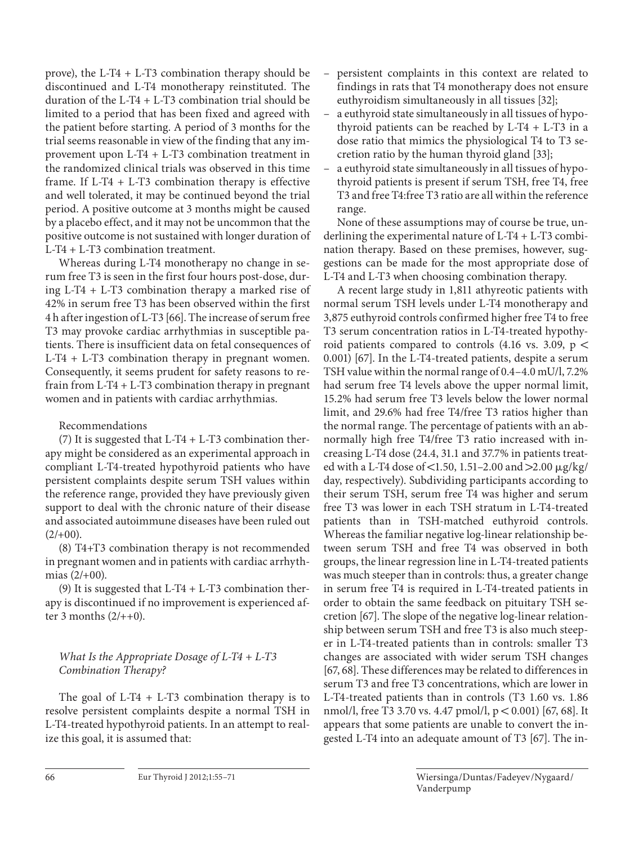prove), the L-T4 + L-T3 combination therapy should be discontinued and L-T4 monotherapy reinstituted. The duration of the L-T4 + L-T3 combination trial should be limited to a period that has been fixed and agreed with the patient before starting. A period of 3 months for the trial seems reasonable in view of the finding that any improvement upon L-T4 + L-T3 combination treatment in the randomized clinical trials was observed in this time frame. If L-T4 + L-T3 combination therapy is effective and well tolerated, it may be continued beyond the trial period. A positive outcome at 3 months might be caused by a placebo effect, and it may not be uncommon that the positive outcome is not sustained with longer duration of L-T4 + L-T3 combination treatment.

 Whereas during L-T4 monotherapy no change in serum free T3 is seen in the first four hours post-dose, during L-T4 + L-T3 combination therapy a marked rise of 42% in serum free T3 has been observed within the first 4 h after ingestion of L-T3 [66] . The increase of serum free T3 may provoke cardiac arrhythmias in susceptible patients. There is insufficient data on fetal consequences of L-T4 + L-T3 combination therapy in pregnant women. Consequently, it seems prudent for safety reasons to refrain from L-T4 + L-T3 combination therapy in pregnant women and in patients with cardiac arrhythmias.

## Recommendations

 (7) It is suggested that L-T4 + L-T3 combination therapy might be considered as an experimental approach in compliant L-T4-treated hypothyroid patients who have persistent complaints despite serum TSH values within the reference range, provided they have previously given support to deal with the chronic nature of their disease and associated autoimmune diseases have been ruled out  $(2/+00)$ .

 (8) T4+T3 combination therapy is not recommended in pregnant women and in patients with cardiac arrhythmias (2/+00).

(9) It is suggested that  $L-T4 + L-T3$  combination therapy is discontinued if no improvement is experienced after 3 months  $(2/++0)$ .

# *What Is the Appropriate Dosage of L-T4 + L-T3 Combination Therapy?*

The goal of L-T4  $+$  L-T3 combination therapy is to resolve persistent complaints despite a normal TSH in L-T4-treated hypothyroid patients. In an attempt to realize this goal, it is assumed that:

- persistent complaints in this context are related to findings in rats that T4 monotherapy does not ensure euthyroidism simultaneously in all tissues [32];
- a euthyroid state simultaneously in all tissues of hypothyroid patients can be reached by L-T4 + L-T3 in a dose ratio that mimics the physiological T4 to T3 secretion ratio by the human thyroid gland [33];
- a euthyroid state simultaneously in all tissues of hypothyroid patients is present if serum TSH, free T4, free T3 and free T4:free T3 ratio are all within the reference range.

 None of these assumptions may of course be true, underlining the experimental nature of L-T4 + L-T3 combination therapy. Based on these premises, however, suggestions can be made for the most appropriate dose of L-T4 and L-T3 when choosing combination therapy.

 A recent large study in 1,811 athyreotic patients with normal serum TSH levels under L-T4 monotherapy and 3,875 euthyroid controls confirmed higher free T4 to free T3 serum concentration ratios in L-T4-treated hypothyroid patients compared to controls (4.16 vs. 3.09,  $p <$ 0.001) [67]. In the L-T4-treated patients, despite a serum TSH value within the normal range of 0.4–4.0 mU/l, 7.2% had serum free T4 levels above the upper normal limit, 15.2% had serum free T3 levels below the lower normal limit, and 29.6% had free T4/free T3 ratios higher than the normal range. The percentage of patients with an abnormally high free T4/free T3 ratio increased with increasing L-T4 dose (24.4, 31.1 and 37.7% in patients treated with a L-T4 dose of <1.50, 1.51-2.00 and >2.00  $\mu$ g/kg/ day, respectively). Subdividing participants according to their serum TSH, serum free T4 was higher and serum free T3 was lower in each TSH stratum in L-T4-treated patients than in TSH-matched euthyroid controls. Whereas the familiar negative log-linear relationship between serum TSH and free T4 was observed in both groups, the linear regression line in L-T4-treated patients was much steeper than in controls: thus, a greater change in serum free T4 is required in L-T4-treated patients in order to obtain the same feedback on pituitary TSH secretion [67]. The slope of the negative log-linear relationship between serum TSH and free T3 is also much steeper in L-T4-treated patients than in controls: smaller T3 changes are associated with wider serum TSH changes [67, 68]. These differences may be related to differences in serum T3 and free T3 concentrations, which are lower in L-T4-treated patients than in controls (T3 1.60 vs. 1.86 nmol/l, free T3 3.70 vs. 4.47 pmol/l,  $p < 0.001$ ) [67, 68]. It appears that some patients are unable to convert the ingested L-T4 into an adequate amount of T3 [67]. The in-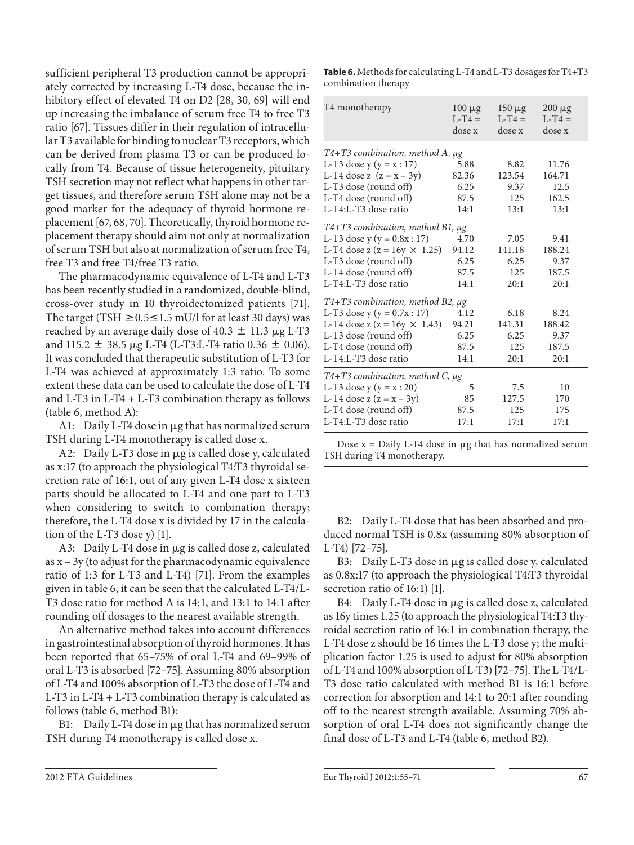sufficient peripheral T3 production cannot be appropriately corrected by increasing L-T4 dose, because the inhibitory effect of elevated T4 on D2 [28, 30, 69] will end up increasing the imbalance of serum free T4 to free T3 ratio [67]. Tissues differ in their regulation of intracellular T3 available for binding to nuclear T3 receptors, which can be derived from plasma T3 or can be produced locally from T4. Because of tissue heterogeneity, pituitary TSH secretion may not reflect what happens in other target tissues, and therefore serum TSH alone may not be a good marker for the adequacy of thyroid hormone replacement [67, 68, 70]. Theoretically, thyroid hormone replacement therapy should aim not only at normalization of serum TSH but also at normalization of serum free T4, free T3 and free T4/free T3 ratio.

 The pharmacodynamic equivalence of L-T4 and L-T3 has been recently studied in a randomized, double-blind, cross-over study in 10 thyroidectomized patients [71] . The target (TSH  $\geq$  0.5  $\leq$  1.5 mU/l for at least 30 days) was reached by an average daily dose of 40.3  $\pm$  11.3  $\mu$ g L-T3 and 115.2  $\pm$  38.5  $\mu$ g L-T4 (L-T3:L-T4 ratio 0.36  $\pm$  0.06). It was concluded that therapeutic substitution of L-T3 for L-T4 was achieved at approximately 1:3 ratio. To some extent these data can be used to calculate the dose of L-T4 and L-T3 in L-T4 + L-T3 combination therapy as follows (table 6, method A):

A1: Daily L-T4 dose in µg that has normalized serum TSH during L-T4 monotherapy is called dose x.

A2: Daily L-T3 dose in µg is called dose y, calculated as x:17 (to approach the physiological T4:T3 thyroidal secretion rate of 16:1, out of any given L-T4 dose x sixteen parts should be allocated to L-T4 and one part to L-T3 when considering to switch to combination therapy; therefore, the L-T4 dose x is divided by 17 in the calculation of the L-T3 dose y) [1].

A3: Daily L-T4 dose in µg is called dose z, calculated as x – 3y (to adjust for the pharmacodynamic equivalence ratio of 1:3 for L-T3 and L-T4) [71] . From the examples given in table 6, it can be seen that the calculated L-T4/L-T3 dose ratio for method A is 14:1, and 13:1 to 14:1 after rounding off dosages to the nearest available strength.

 An alternative method takes into account differences in gastrointestinal absorption of thyroid hormones. It has been reported that 65–75% of oral L-T4 and 69–99% of oral L-T3 is absorbed [72–75] . Assuming 80% absorption of L-T4 and 100% absorption of L-T3 the dose of L-T4 and L-T3 in L-T4 + L-T3 combination therapy is calculated as follows (table 6, method B1):

B1: Daily L-T4 dose in µg that has normalized serum TSH during T4 monotherapy is called dose x.

**Table 6.** Methods for calculating L-T4 and L-T3 dosages for T4+T3 combination therapy

| T4 monotherapy                          | $100 \mu g$<br>$L-T4=$<br>dose x | $150 \mu g$<br>$L-T4=$<br>dose x | $200 \mu g$<br>$L-T4=$<br>dose x |  |  |  |
|-----------------------------------------|----------------------------------|----------------------------------|----------------------------------|--|--|--|
| $T4+T3$ combination, method A, $\mu$ g  |                                  |                                  |                                  |  |  |  |
| L-T3 dose $y (y = x : 17)$              | 5.88                             | 8.82                             | 11.76                            |  |  |  |
| L-T4 dose z $(z = x - 3y)$              | 82.36                            | 123.54                           | 164.71                           |  |  |  |
| L-T3 dose (round off)                   | 6.25                             | 9.37                             | 12.5                             |  |  |  |
| L-T4 dose (round off)                   | 87.5                             | 125                              | 162.5                            |  |  |  |
| L-T4:L-T3 dose ratio                    | 14:1                             | 13:1                             | 13:1                             |  |  |  |
| $T4+T3$ combination, method B1, $\mu$ g |                                  |                                  |                                  |  |  |  |
| L-T3 dose $y (y = 0.8x : 17)$           | 4.70                             | 7.05                             | 9.41                             |  |  |  |
| L-T4 dose z ( $z = 16y \times 1.25$ )   | 94.12                            | 141.18                           | 188.24                           |  |  |  |
| L-T3 dose (round off)                   | 6.25                             | 6.25                             | 9.37                             |  |  |  |
| L-T4 dose (round off)                   | 87.5                             | 125                              | 187.5                            |  |  |  |
| L-T4:L-T3 dose ratio                    | 14:1                             | 20:1                             | 20:1                             |  |  |  |
| $T4+T3$ combination, method B2, $\mu$ g |                                  |                                  |                                  |  |  |  |
| L-T3 dose $y (y = 0.7x : 17)$           | 4.12                             | 6.18                             | 8.24                             |  |  |  |
| L-T4 dose z ( $z = 16y \times 1.43$ )   | 94.21                            | 141.31                           | 188.42                           |  |  |  |
| L-T3 dose (round off)                   | 6.25                             | 6.25                             | 9.37                             |  |  |  |
| L-T4 dose (round off)                   | 87.5                             | 125                              | 187.5                            |  |  |  |
| L-T4:L-T3 dose ratio                    | 14:1                             | 20:1                             | 20:1                             |  |  |  |
| $T4+T3$ combination, method C, $\mu$ g  |                                  |                                  |                                  |  |  |  |
| L-T3 dose $y (y = x : 20)$              | 5                                | 7.5                              | 10                               |  |  |  |
| L-T4 dose z $(z = x - 3y)$              | 85                               | 127.5                            | 170                              |  |  |  |
| L-T4 dose (round off)                   | 87.5                             | 125                              | 175                              |  |  |  |
| L-T4:L-T3 dose ratio                    | 17:1                             | 17:1                             | 17:1                             |  |  |  |

Dose  $x =$  Daily L-T4 dose in  $\mu$ g that has normalized serum TSH during T4 monotherapy.

 B2: Daily L-T4 dose that has been absorbed and produced normal TSH is 0.8x (assuming 80% absorption of L-T4) [72-75].

B3: Daily L-T3 dose in µg is called dose y, calculated as 0.8x:17 (to approach the physiological T4:T3 thyroidal secretion ratio of 16:1) [1].

B4: Daily L-T4 dose in µg is called dose z, calculated as 16y times 1.25 (to approach the physiological T4:T3 thyroidal secretion ratio of 16:1 in combination therapy, the L-T4 dose z should be 16 times the L-T3 dose y; the multiplication factor 1.25 is used to adjust for 80% absorption of L-T4 and 100% absorption of L-T3) [72–75] . The L-T4/L-T3 dose ratio calculated with method B1 is 16:1 before correction for absorption and 14:1 to 20:1 after rounding off to the nearest strength available. Assuming 70% absorption of oral L-T4 does not significantly change the final dose of L-T3 and L-T4 (table 6, method B2).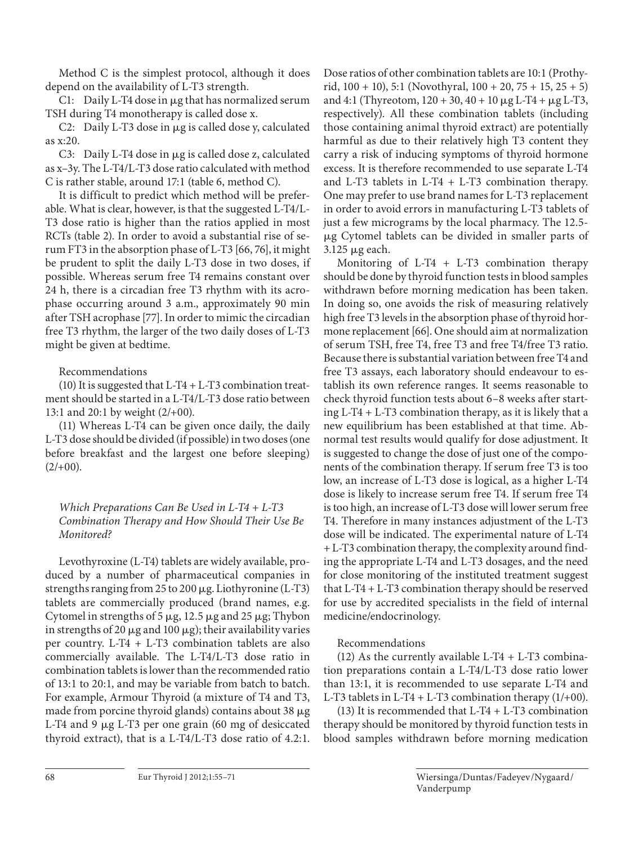Method C is the simplest protocol, although it does depend on the availability of L-T3 strength.

C1: Daily L-T4 dose in µg that has normalized serum TSH during T4 monotherapy is called dose x.

C2: Daily L-T3 dose in µg is called dose y, calculated as x:20.

C3: Daily L-T4 dose in µg is called dose z, calculated as x–3y. The L-T4/L-T3 dose ratio calculated with method C is rather stable, around 17:1 (table 6, method C).

 It is difficult to predict which method will be preferable. What is clear, however, is that the suggested L-T4/L-T3 dose ratio is higher than the ratios applied in most RCTs (table 2). In order to avoid a substantial rise of serum FT3 in the absorption phase of L-T3 [66, 76], it might be prudent to split the daily L-T3 dose in two doses, if possible. Whereas serum free T4 remains constant over 24 h, there is a circadian free T3 rhythm with its acrophase occurring around 3 a.m., approximately 90 min after TSH acrophase [77] . In order to mimic the circadian free T3 rhythm, the larger of the two daily doses of L-T3 might be given at bedtime.

# Recommendations

(10) It is suggested that  $L-T4 + L-T3$  combination treatment should be started in a L-T4/L-T3 dose ratio between 13:1 and 20:1 by weight (2/+00).

 (11) Whereas L-T4 can be given once daily, the daily L-T3 dose should be divided (if possible) in two doses (one before breakfast and the largest one before sleeping)  $(2/+00).$ 

 *Which Preparations Can Be Used in L-T4 + L-T3 Combination Therapy and How Should Their Use Be Monitored?* 

 Levothyroxine (L-T4) tablets are widely available, produced by a number of pharmaceutical companies in strengths ranging from 25 to 200 µg. Liothyronine (L-T3) tablets are commercially produced (brand names, e.g. Cytomel in strengths of  $5 \mu g$ , 12.5  $\mu g$  and 25  $\mu g$ ; Thybon in strengths of 20  $\mu$ g and 100  $\mu$ g); their availability varies per country. L-T4 + L-T3 combination tablets are also commercially available. The L-T4/L-T3 dose ratio in combination tablets is lower than the recommended ratio of 13:1 to 20:1, and may be variable from batch to batch. For example, Armour Thyroid (a mixture of T4 and T3, made from porcine thyroid glands) contains about 38  $\mu$ g L-T4 and 9 µg L-T3 per one grain (60 mg of desiccated thyroid extract), that is a L-T4/L-T3 dose ratio of 4.2:1.

Dose ratios of other combination tablets are 10:1 (Prothyrid,  $100 + 10$ ), 5:1 (Novothyral,  $100 + 20$ ,  $75 + 15$ ,  $25 + 5$ ) and 4:1 (Thyreotom,  $120 + 30$ ,  $40 + 10 \mu g L$ -T4 +  $\mu g L$ -T3, respectively). All these combination tablets (including those containing animal thyroid extract) are potentially harmful as due to their relatively high T3 content they carry a risk of inducing symptoms of thyroid hormone excess. It is therefore recommended to use separate L-T4 and L-T3 tablets in L-T4 + L-T3 combination therapy. One may prefer to use brand names for L-T3 replacement in order to avoid errors in manufacturing L-T3 tablets of just a few micrograms by the local pharmacy. The 12.5 µg Cytomel tablets can be divided in smaller parts of  $3.125 \mu g$  each.

 Monitoring of L-T4 + L-T3 combination therapy should be done by thyroid function tests in blood samples withdrawn before morning medication has been taken. In doing so, one avoids the risk of measuring relatively high free T3 levels in the absorption phase of thyroid hormone replacement [66]. One should aim at normalization of serum TSH, free T4, free T3 and free T4/free T3 ratio. Because there is substantial variation between free T4 and free T3 assays, each laboratory should endeavour to establish its own reference ranges. It seems reasonable to check thyroid function tests about 6–8 weeks after starting L-T4 + L-T3 combination therapy, as it is likely that a new equilibrium has been established at that time. Abnormal test results would qualify for dose adjustment. It is suggested to change the dose of just one of the components of the combination therapy. If serum free T3 is too low, an increase of L-T3 dose is logical, as a higher L-T4 dose is likely to increase serum free T4. If serum free T4 is too high, an increase of L-T3 dose will lower serum free T4. Therefore in many instances adjustment of the L-T3 dose will be indicated. The experimental nature of L-T4 + L-T3 combination therapy, the complexity around finding the appropriate L-T4 and L-T3 dosages, and the need for close monitoring of the instituted treatment suggest that L-T4 + L-T3 combination therapy should be reserved for use by accredited specialists in the field of internal medicine/endocrinology.

## Recommendations

(12) As the currently available  $L-T4 + L-T3$  combination preparations contain a L-T4/L-T3 dose ratio lower than 13:1, it is recommended to use separate L-T4 and L-T3 tablets in L-T4 + L-T3 combination therapy  $(1/+00)$ .

 (13) It is recommended that L-T4 + L-T3 combination therapy should be monitored by thyroid function tests in blood samples withdrawn before morning medication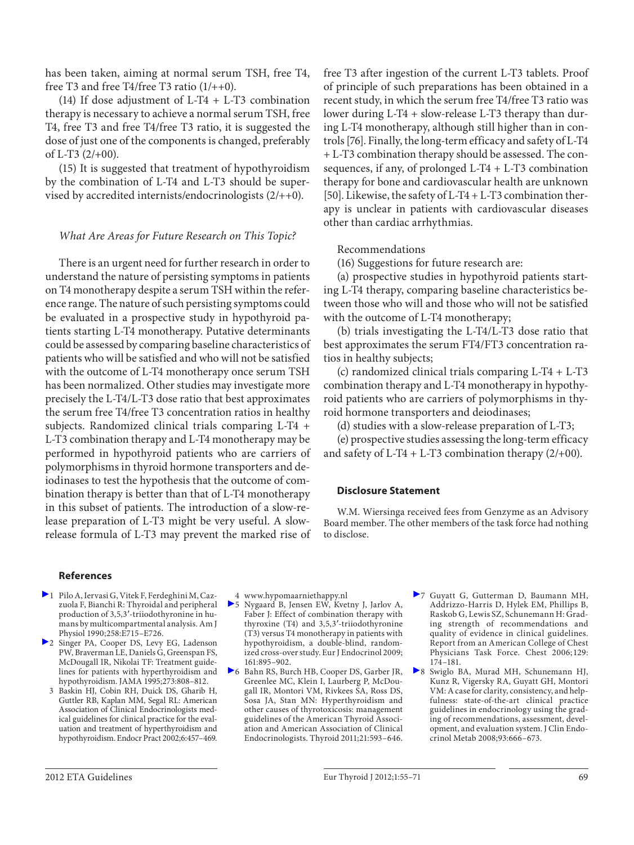has been taken, aiming at normal serum TSH, free T4, free T3 and free T4/free T3 ratio  $(1/++0)$ .

(14) If dose adjustment of L-T4  $+$  L-T3 combination therapy is necessary to achieve a normal serum TSH, free T4, free T3 and free T4/free T3 ratio, it is suggested the dose of just one of the components is changed, preferably of L-T3 (2/+00).

 (15) It is suggested that treatment of hypothyroidism by the combination of L-T4 and L-T3 should be supervised by accredited internists/endocrinologists (2/++0).

#### *What Are Areas for Future Research on This Topic?*

 There is an urgent need for further research in order to understand the nature of persisting symptoms in patients on T4 monotherapy despite a serum TSH within the reference range. The nature of such persisting symptoms could be evaluated in a prospective study in hypothyroid patients starting L-T4 monotherapy. Putative determinants could be assessed by comparing baseline characteristics of patients who will be satisfied and who will not be satisfied with the outcome of L-T4 monotherapy once serum TSH has been normalized. Other studies may investigate more precisely the L-T4/L-T3 dose ratio that best approximates the serum free T4/free T3 concentration ratios in healthy subjects. Randomized clinical trials comparing L-T4 + L-T3 combination therapy and L-T4 monotherapy may be performed in hypothyroid patients who are carriers of polymorphisms in thyroid hormone transporters and deiodinases to test the hypothesis that the outcome of combination therapy is better than that of L-T4 monotherapy in this subset of patients. The introduction of a slow-release preparation of L-T3 might be very useful. A slowrelease formula of L-T3 may prevent the marked rise of free T3 after ingestion of the current L-T3 tablets. Proof of principle of such preparations has been obtained in a recent study, in which the serum free T4/free T3 ratio was lower during L-T4 + slow-release L-T3 therapy than during L-T4 monotherapy, although still higher than in controls [76] . Finally, the long-term efficacy and safety of L-T4 + L-T3 combination therapy should be assessed. The consequences, if any, of prolonged L-T4 + L-T3 combination therapy for bone and cardiovascular health are unknown [50]. Likewise, the safety of L-T4 + L-T3 combination therapy is unclear in patients with cardiovascular diseases other than cardiac arrhythmias.

#### Recommendations

(16) Suggestions for future research are:

 (a) prospective studies in hypothyroid patients starting L-T4 therapy, comparing baseline characteristics between those who will and those who will not be satisfied with the outcome of L-T4 monotherapy;

 (b) trials investigating the L-T4/L-T3 dose ratio that best approximates the serum FT4/FT3 concentration ratios in healthy subjects;

 (c) randomized clinical trials comparing L-T4 + L-T3 combination therapy and L-T4 monotherapy in hypothyroid patients who are carriers of polymorphisms in thyroid hormone transporters and deiodinases;

(d) studies with a slow-release preparation of L-T3;

 (e) prospective studies assessing the long-term efficacy and safety of  $L-T4 + L-T3$  combination therapy (2/+00).

#### **Disclosure Statement**

 W.M. Wiersinga received fees from Genzyme as an Advisory Board member. The other members of the task force had nothing to disclose.

#### **References**

- 1 Pilo A, Iervasi G, Vitek F, Ferdeghini M, Cazzuola F, Bianchi R: Thyroidal and peripheral production of 3,5,3'-triiodothyronine in humans by multicompartmental analysis. Am J Physiol 1990;258:E715–E726.
- 2 Singer PA, Cooper DS, Levy EG, Ladenson PW, Braverman LE, Daniels G, Greenspan FS, McDougall IR, Nikolai TF: Treatment guidelines for patients with hyperthyroidism and hypothyroidism. JAMA 1995;273:808–812.
	- 3 Baskin HJ, Cobin RH, Duick DS, Gharib H, Guttler RB, Kaplan MM, Segal RL: American Association of Clinical Endocrinologists medical guidelines for clinical practice for the evaluation and treatment of hyperthyroidism and hypothyroidism. Endocr Pract 2002;6:457–469.
- 4 www.hypomaarniethappy.nl
- 5 Nygaard B, Jensen EW, Kvetny J, Jarlov A, Faber J: Effect of combination therapy with thyroxine (T4) and 3,5,3'-triiodothyronine (T3) versus T4 monotherapy in patients with hypothyroidism, a double-blind, randomized cross-over study. Eur J Endocrinol 2009; 161:895–902.
- 6 Bahn RS, Burch HB, Cooper DS, Garber JR, Greenlee MC, Klein I, Laurberg P, McDougall IR, Montori VM, Rivkees SA, Ross DS, Sosa JA, Stan MN: Hyperthyroidism and other causes of thyrotoxicosis: management guidelines of the American Thyroid Association and American Association of Clinical Endocrinologists. Thyroid 2011;21:593–646.
- 7 Guyatt G, Gutterman D, Baumann MH, Addrizzo-Harris D, Hylek EM, Phillips B, Raskob G, Lewis SZ, Schunemann H: Grading strength of recommendations and quality of evidence in clinical guidelines. Report from an American College of Chest Physicians Task Force. Chest 2006; 129: 174–181.
- 8 Swiglo BA, Murad MH, Schunemann HJ, Kunz R, Vigersky RA, Guyatt GH, Montori VM: A case for clarity, consistency, and helpfulness: state-of-the-art clinical practice guidelines in endocrinology using the grading of recommendations, assessment, development, and evaluation system. J Clin Endocrinol Metab 2008;93:666–673.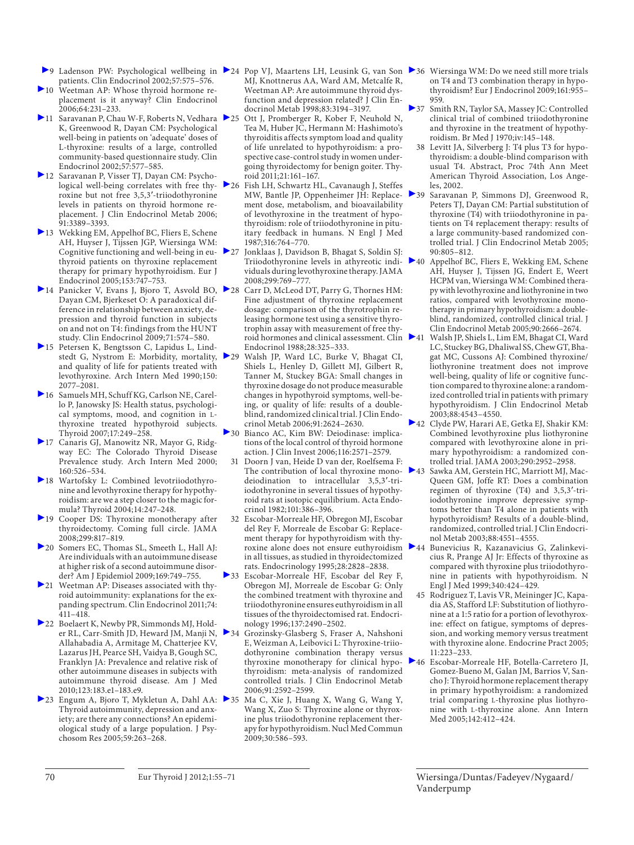- patients. Clin Endocrinol 2002;57:575–576.
- 10 Weetman AP: Whose thyroid hormone replacement is it anyway? Clin Endocrinol 2006;64:231–233.
- 11 Saravanan P, Chau W-F, Roberts N, Vedhara 25 K, Greenwood R, Dayan CM: Psychological well-being in patients on 'adequate' doses of L-thyroxine: results of a large, controlled community-based questionnaire study. Clin Endocrinol 2002;57:577–585.
- 12 Saravanan P, Visser TJ, Dayan CM: Psychological well-being correlates with free thyroxine but not free 3,5,3'-triiodothyronine levels in patients on thyroid hormone replacement. J Clin Endocrinol Metab 2006; 91:3389–3393.
- 13 Wekking EM, Appelhof BC, Fliers E, Schene AH, Huyser J, Tijssen JGP, Wiersinga WM: Cognitive functioning and well-being in euthyroid patients on thyroxine replacement therapy for primary hypothyroidism. Eur J Endocrinol 2005;153:747–753.
- ▶ 14 Panicker V, Evans J, Bjoro T, Asvold BO, ▶ 28 Dayan CM, Bjerkeset O: A paradoxical difference in relationship between anxiety, depression and thyroid function in subjects on and not on T4: findings from the HUNT study. Clin Endocrinol 2009;71:574–580.
- 15 Petersen K, Bengtsson C, Lapidus L, Lindstedt G, Nystrom E: Morbidity, mortality, and quality of life for patients treated with levothyroxine. Arch Intern Med 1990;150: 2077–2081.
- 16 Samuels MH, Schuff KG, Carlson NE, Carello P, Janowsky JS: Health status, psychological symptoms, mood, and cognition in Lthyroxine treated hypothyroid subjects. Thyroid 2007;17:249–258.
- 17 Canaris GJ, Manowitz NR, Mayor G, Ridgway EC: The Colorado Thyroid Disease Prevalence study. Arch Intern Med 2000; 160:526–534.
- 18 Wartofsky L: Combined levotriiodothyronine and levothyroxine therapy for hypothyroidism: are we a step closer to the magic formula? Thyroid 2004;14:247–248.
- $\blacktriangleright$  19 Cooper DS: Thyroxine monotherapy after thyroidectomy. Coming full circle. JAMA 2008;299:817–819.
- 20 Somers EC, Thomas SL, Smeeth L, Hall AJ: Are individuals with an autoimmune disease at higher risk of a second autoimmune disorder? Am J Epidemiol 2009;169:749–755.
- 21 Weetman AP: Diseases associated with thyroid autoimmunity: explanations for the expanding spectrum. Clin Endocrinol 2011;74: 411–418.
- 22 Boelaert K, Newby PR, Simmonds MJ, Holder RL, Carr-Smith JD, Heward JM, Manji N, Allahabadia A, Armitage M, Chatterjee KV, Lazarus JH, Pearce SH, Vaidya B, Gough SC, Franklyn JA: Prevalence and relative risk of other autoimmune diseases in subjects with autoimmune thyroid disease. Am J Med 2010;123:183.e1–183.e9.
- ▶ 23 Engum A, Bjoro T, Mykletun A, Dahl AA: ▶ 35 Thyroid autoimmunity, depression and anxiety; are there any connections? An epidemiological study of a large population. J Psychosom Res 2005;59:263–268.
- ◆9 Ladenson PW: Psychological wellbeing in ▶24 Pop VJ, Maartens LH, Leusink G, van Son ▶36 Wiersinga WM: Do we need still more trials MJ, Knottnerus AA, Ward AM, Metcalfe R, Weetman AP: Are autoimmune thyroid dysfunction and depression related? J Clin Endocrinol Metab 1998;83:3194–3197.
	- Ott J, Promberger R, Kober F, Neuhold N, Tea M, Huber JC, Hermann M: Hashimoto's thyroiditis affects symptom load and quality of life unrelated to hypothyroidism: a prospective case-control study in women undergoing thyroidectomy for benign goiter. Thyroid 2011;21:161–167.
	- 26 Fish LH, Schwartz HL, Cavanaugh J, Steffes MW, Bantle JP, Oppenheimer JH: Replacement dose, metabolism, and bioavailability of levothyroxine in the treatment of hypothyroidism: role of triiodothyronine in pituitary feedback in humans. N Engl J Med 1987;316:764–770.
	- 27 Jonklaas J, Davidson B, Bhagat S, Soldin SJ: Triiodothyronine levels in athyreotic individuals during levothyroxine therapy. JAMA 2008;299:769–777.
	- Carr D, McLeod DT, Parry G, Thornes HM: Fine adjustment of thyroxine replacement dosage: comparison of the thyrotrophin releasing hormone test using a sensitive thyrotrophin assay with measurement of free thyroid hormones and clinical assessment. Clin 241 Endocrinol 1988;28:325–333.
	- 29 Walsh JP, Ward LC, Burke V, Bhagat CI, Shiels L, Henley D, Gillett MJ, Gilbert R, Tanner M, Stuckey BGA: Small changes in thyroxine dosage do not produce measurable changes in hypothyroid symptoms, well-being, or quality of life: results of a doubleblind, randomized clinical trial. J Clin Endocrinol Metab 2006;91:2624–2630.
	- 30 Bianco AC, Kim BW: Deiodinase: implications of the local control of thyroid hormone action. J Clin Invest 2006;116:2571–2579.
	- 31 Doorn J van, Heide D van der, Roelfsema F: The contribution of local thyroxine monodeiodination to intracellular 3,5,3'-triiodothyronine in several tissues of hypothyroid rats at isotopic equilibrium. Acta Endocrinol 1982;101:386–396.
	- 32 Escobar-Morreale HF, Obregon MJ, Escobar del Rey F, Morreale de Escobar G: Replacement therapy for hypothyroidism with thyroxine alone does not ensure euthyroidism in all tissues, as studied in thyroidectomized rats. Endocrinology 1995;28:2828–2838.
	- 33 Escobar-Morreale HF, Escobar del Rey F, Obregon MJ, Morreale de Escobar G: Only the combined treatment with thyroxine and triiodothyronine ensures euthyroidism in all tissues of the thyroidectomised rat. Endocrinology 1996;137:2490–2502.
	- 34 Grozinsky-Glasberg S, Fraser A, Nahshoni E, Weizman A, Leibovici L: Thyroxine-triiodothyronine combination therapy versus thyroxine monotherapy for clinical hypothyroidism: meta-analysis of randomized controlled trials. J Clin Endocrinol Metab 2006;91:2592–2599.
	- Ma C, Xie J, Huang X, Wang G, Wang Y, Wang X, Zuo S: Thyroxine alone or thyroxine plus triiodothyronine replacement therapy for hypothyroidism. Nucl Med Commun 2009;30:586–593.
- on T4 and T3 combination therapy in hypothyroidism? Eur J Endocrinol 2009;161:955-959.
- 37 Smith RN, Taylor SA, Massey JC: Controlled clinical trial of combined triiodothyronine and thyroxine in the treatment of hypothyroidism. Br Med J 1970;iv:145–148.
	- 38 Levitt JA, Silverberg J: T4 plus T3 for hypothyroidism: a double-blind comparison with usual T4. Abstract, Proc 74th Ann Meet American Thyroid Association, Los Angeles, 2002.
- 39 Saravanan P, Simmons DJ, Greenwood R, Peters TJ, Dayan CM: Partial substitution of thyroxine (T4) with triiodothyronine in patients on T4 replacement therapy: results of a large community-based randomized controlled trial. J Clin Endocrinol Metab 2005; 90:805–812.
	- 40 Appelhof BC, Fliers E, Wekking EM, Schene AH, Huyser J, Tijssen JG, Endert E, Weert HCPM van, Wiersinga WM: Combined therapy with levothyroxine and liothyronine in two ratios, compared with levothyroxine monotherapy in primary hypothyroidism: a doubleblind, randomized, controlled clinical trial. J Clin Endocrinol Metab 2005;90:2666–2674.
	- Walsh JP, Shiels L, Lim EM, Bhagat CI, Ward LC, Stuckey BG, Dhaliwal SS, Chew GT, Bhagat MC, Cussons AJ: Combined thyroxine/ liothyronine treatment does not improve well-being, quality of life or cognitive function compared to thyroxine alone: a randomized controlled trial in patients with primary hypothyroidism. J Clin Endocrinol Metab 2003;88:4543–4550.
- 42 Clyde PW, Harari AE, Getka EJ, Shakir KM: Combined levothyroxine plus liothyronine compared with levothyroxine alone in primary hypothyroidism: a randomized controlled trial. JAMA 2003;290:2952–2958.
- 43 Sawka AM, Gerstein HC, Marriott MJ, Mac-Queen GM, Joffe RT: Does a combination regimen of thyroxine  $(T4)$  and  $3,5,3'$ -triiodothyronine improve depressive symptoms better than T4 alone in patients with hypothyroidism? Results of a double-blind, randomized, controlled trial. J Clin Endocrinol Metab 2003;88:4551–4555.
- 44 Bunevicius R, Kazanavicius G, Zalinkevicius R, Prange AJ Jr: Effects of thyroxine as compared with thyroxine plus triiodothyronine in patients with hypothyroidism. N Engl J Med 1999;340:424–429.
- 45 Rodriguez T, Lavis VR, Meininger JC, Kapadia AS, Stafford LF: Substitution of liothyronine at a 1:5 ratio for a portion of levothyroxine: effect on fatigue, symptoms of depression, and working memory versus treatment with thyroxine alone. Endocrine Pract 2005;  $11.223 - 233$
- 46 Escobar-Morreale HF, Botella-Carretero JI, Gomez-Bueno M, Galan JM, Barrios V, Sancho J: Thyroid hormone replacement therapy in primary hypothyroidism: a randomized trial comparing L -thyroxine plus liothyronine with L-thyroxine alone. Ann Intern Med 2005;142:412–424.